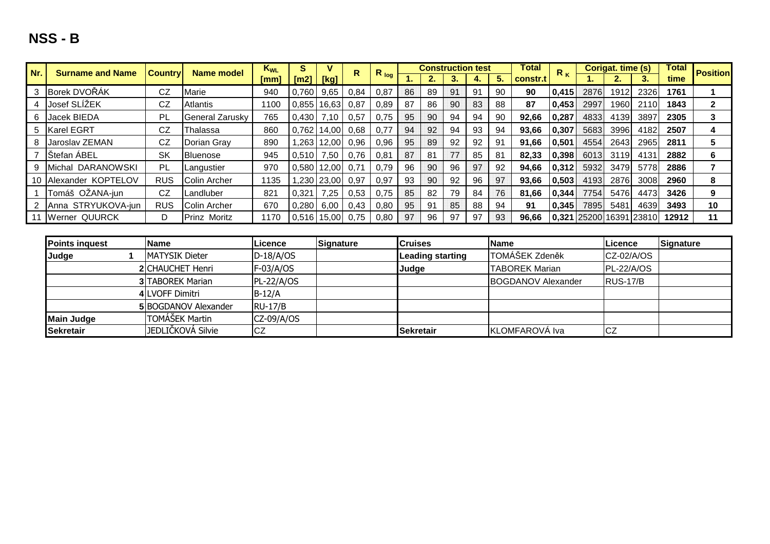| Nr. | <b>Surname and Name</b> | <b>Country</b> | Name model             | $K_{WL}$ | s                      |                     | R.   |           |    |     |    | <b>Construction test</b> |    | <b>Total</b> | $R_{K}$ |      | Corigat. time (s) |                                | Total | <b>Position</b> |
|-----|-------------------------|----------------|------------------------|----------|------------------------|---------------------|------|-----------|----|-----|----|--------------------------|----|--------------|---------|------|-------------------|--------------------------------|-------|-----------------|
|     |                         |                |                        | [mm]     | $\mathsf{[m2]}$        | [Kg]                |      | $R_{log}$ | ъ. |     |    |                          |    | constr.t     |         |      |                   |                                | time  |                 |
|     | 3 Borek DVOŘÁK          | CZ             | Marie                  | 940      | 0.760                  | 9,65                | 0.84 | 0,87      | 86 | 89  | 91 | 91                       | 90 | 90           | 0,415   | 2876 | 1912              | 2326                           | 1761  |                 |
|     | 4 Josef SLIZEK          | CZ             | Atlantis               | 1100     |                        | $0,855$ 16,63       | 0.87 | 0,89      | 87 | 86  | 90 | 83                       | 88 | 87           | 0,453   | 2997 | 1960              | 2110                           | 1843  | $\mathbf{2}$    |
|     | 6 Jacek BIEDA           | PL             | <b>General Zarusky</b> | 765      | 0,430                  | 7,10                | 0,57 | 0.75      | 95 | 90  | 94 | 94                       | 90 | 92,66        | 0,287   | 4833 | 4139              | 3897                           | 2305  | 3               |
|     | 5 Karel EGRT            | CZ             | Thalassa               | 860      | 0,762                  | $14,00$ 0.68        |      | 0,77      | 94 | 92  | 94 | 93                       | 94 | 93,66        | 0,307   | 5683 | 3996              | 4182                           | 2507  | 4               |
|     | 8 Jaroslav ZEMAN        | CZ             | Dorian Gray            | 890      |                        | ,263   12,00   0,96 |      | 0,96      | 95 | 89  | 92 | 92                       | 91 | 91,66        | 0,501   | 4554 | 2643              | 2965                           | 2811  | 5               |
|     | Stefan ABEL             | SK             | Bluenose               | 945      | 0.510                  | 7,50                | 0,76 | 0,81      | 87 | 81  | 77 | 85                       | 81 | 82,33        | 0,398   | 6013 | 3119              | 4131                           | 2882  | 6               |
|     | Michal DARANOWSKI       | <b>PL</b>      | Langustier             | 970      | $0,580$   12,00   0,71 |                     |      | 0.79      | 96 | 90. | 96 | 97                       | 92 | 94,66        | 0,312   | 5932 | 3479              | 5778                           | 2886  |                 |
|     | 10 Alexander KOPTELOV   | <b>RUS</b>     | Colin Archer           | 1135     |                        | ,230 23,00          | 0.97 | 0,97      | 93 | 90  | 92 | 96                       | 97 | 93,66        | 0.503   | 4193 | 2876              | 3008                           | 2960  | 8               |
|     | Tomáš OŽANA-jun         | CZ             | Landluber              | 821      | 0.321                  | 7,25                | 0,53 | 0.75      | 85 | 82  | 79 | 84                       | 76 | 81,66        | 0.344   | 7754 | 5476              | 4473                           | 3426  | 9               |
|     | Anna STRYUKOVA-jun      | <b>RUS</b>     | <b>IColin Archer</b>   | 670      | 0,280                  | 6,00                | 0,43 | 0,80      | 95 | 91  | 85 | 88                       | 94 | 91           | 0,345   | 7895 | 5481              | 4639                           | 3493  | 10              |
|     | 11 Werner QUURCK        | D              | Prinz Moritz           | 1170     | 0.516                  | 15,00               | 0,75 | 0,80      | 97 | 96  | 97 | -97                      | 93 | 96,66        |         |      |                   | <b>0,321 25200 16391 23810</b> | 12912 | 11              |

| <b>Points inquest</b> | <b>Name</b>              | Licence        | Signature | <b>Cruises</b>          | <b>Name</b>               | Licence          | Signature |
|-----------------------|--------------------------|----------------|-----------|-------------------------|---------------------------|------------------|-----------|
| Judge                 | <b>MATYSIK Dieter</b>    | $D-18/A/OS$    |           | <b>Leading starting</b> | TOMÁŠEK Zdeněk            | $CZ-02/A/OS$     |           |
|                       | <b>2</b> CHAUCHET Henri  | $F-03/A/OS$    |           | Judge                   | <b>TABOREK Marian</b>     | PL-22/A/OS       |           |
|                       | <b>3 TABOREK Marian</b>  | $PL-22/A/OS$   |           |                         | <b>BOGDANOV Alexander</b> | <b>IRUS-17/B</b> |           |
|                       | 4 LVOFF Dimitri          | $B-12/A$       |           |                         |                           |                  |           |
|                       | 5 BOGDANOV Alexander     | <b>RU-17/B</b> |           |                         |                           |                  |           |
| <b>Main Judge</b>     | TOMÁŠEK Martin           | $CZ-09/A/OS$   |           |                         |                           |                  |           |
| <b>Sekretair</b>      | <b>JEDLIČKOVÁ Silvie</b> | ICZ            |           | <b>Sekretair</b>        | KLOMFAROVÁ Iva            | CZ               |           |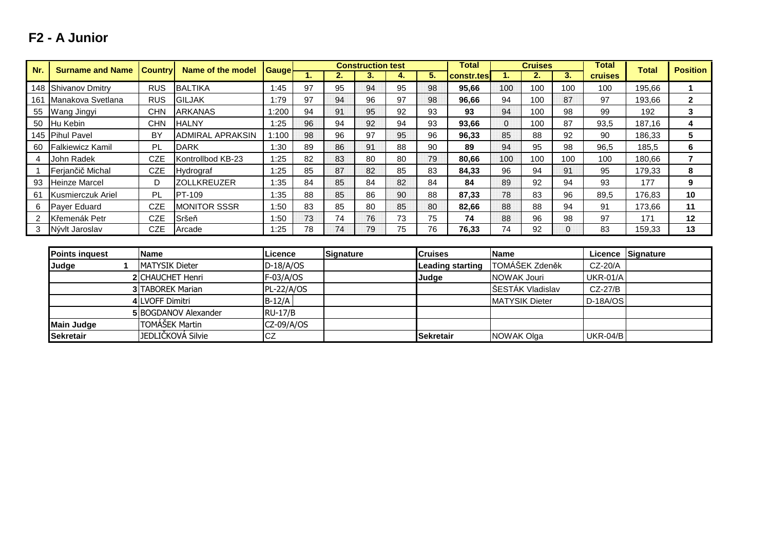### **F2 - A Junior**

**Main JudgeSekretair**

| Nr. | <b>Surname and Name</b> | <b>Country</b>         | <b>Name of the model</b>    | <b>Gauge</b>   |    |           | <b>Construction test</b> |    |                | <b>Total</b>     |                    | <b>Cruises</b>        |                | <b>Total</b>    | <b>Total</b>     | <b>Position</b> |
|-----|-------------------------|------------------------|-----------------------------|----------------|----|-----------|--------------------------|----|----------------|------------------|--------------------|-----------------------|----------------|-----------------|------------------|-----------------|
|     |                         |                        |                             |                |    | 2.        | 3.                       | 4. | 5.             | constr.tes       | 1.                 | 2.                    | 3.             | <b>cruises</b>  |                  |                 |
|     | 148 Shivanov Dmitry     | <b>RUS</b>             | <b>BALTIKA</b>              | 1:45           | 97 | 95        | 94                       | 95 | 98             | 95,66            | 100                | 100                   | 100            | 100             | 195,66           |                 |
| 161 | Manakova Svetlana       | <b>RUS</b>             | <b>GILJAK</b>               | 1:79           | 97 | 94        | 96                       | 97 | 98             | 96,66            | 94                 | 100                   | 87             | 97              | 193,66           | $\mathbf{2}$    |
| 55  | Wang Jingyi             | <b>CHN</b>             | <b>ARKANAS</b>              | 1:200          | 94 | 91        | 95                       | 92 | 93             | 93               | 94                 | 100                   | 98             | 99              | 192              | 3               |
| 50  | Hu Kebin                | <b>CHN</b>             | <b>HALNY</b>                | 1:25           | 96 | 94        | 92                       | 94 | 93             | 93,66            | $\Omega$           | 100                   | 87             | 93,5            | 187,16           | 4               |
|     | 145 Pihul Pavel         | <b>BY</b>              | <b>ADMIRAL APRAKSIN</b>     | 1:100          | 98 | 96        | 97                       | 95 | 96             | 96,33            | 85                 | 88                    | 92             | 90              | 186,33           | 5               |
| 60  | <b>Falkiewicz Kamil</b> | PL                     | <b>DARK</b>                 | 1:30           | 89 | 86        | 91                       | 88 | 90             | 89               | 94                 | 95                    | 98             | 96,5            | 185,5            | 6               |
| 4   | John Radek              | <b>CZE</b>             | Kontrollbod KB-23           | 1:25           | 82 | 83        | 80                       | 80 | 79             | 80,66            | 100                | 100                   | 100            | 100             | 180,66           | $\overline{7}$  |
|     | Ferjančič Michal        | <b>CZE</b>             | Hydrograf                   | 1:25           | 85 | 87        | 82                       | 85 | 83             | 84,33            | 96                 | 94                    | 91             | 95              | 179,33           | 8               |
| 93  | <b>Heinze Marcel</b>    | D                      | <b>ZOLLKREUZER</b>          | 1:35           | 84 | 85        | 84                       | 82 | 84             | 84               | 89                 | 92                    | 94             | 93              | 177              | 9               |
| 61  | Kusmierczuk Ariel       | PL                     | <b>PT-109</b>               | 1:35           | 88 | 85        | 86                       | 90 | 88             | 87,33            | 78                 | 83                    | 96             | 89,5            | 176,83           | 10              |
| 6   | Payer Eduard            | <b>CZE</b>             | <b>MONITOR SSSR</b>         | 1:50           | 83 | 85        | 80                       | 85 | 80             | 82,66            | 88                 | 88                    | 94             | 91              | 173,66           | 11              |
| 2   | Křemenák Petr           | <b>CZE</b>             | Sršeň                       | 1:50           | 73 | 74        | 76                       | 73 | 75             | 74               | 88                 | 96                    | 98             | 97              | 171              | 12              |
| 3   | Nývlt Jaroslav          | <b>CZE</b>             | Arcade                      | 1:25           | 78 | 74        | 79                       | 75 | 76             | 76,33            | 74                 | 92                    | $\overline{0}$ | 83              | 159,33           | 13              |
|     |                         |                        |                             |                |    |           |                          |    |                |                  |                    |                       |                |                 |                  |                 |
|     | <b>Points inquest</b>   | <b>Name</b>            |                             | Licence        |    | Signature |                          |    | <b>Cruises</b> |                  | <b>Name</b>        |                       |                | Licence         | <b>Signature</b> |                 |
|     | Judge                   | <b>MATYSIK Dieter</b>  |                             | $D-18/A/OS$    |    |           |                          |    |                | Leading starting |                    | TOMÁŠEK Zdeněk        |                | CZ-20/A         |                  |                 |
|     |                         | 2 CHAUCHET Henri       |                             | F-03/A/OS      |    |           |                          |    | Judge          |                  | <b>NOWAK Jouri</b> |                       |                | <b>UKR-01/A</b> |                  |                 |
|     |                         | 3 TABOREK Marian       |                             | PL-22/A/OS     |    |           |                          |    |                |                  |                    | ŠESTÁK Vladislav      |                | CZ-27/B         |                  |                 |
|     |                         | <b>4 LVOFF Dimitri</b> |                             | $B-12/A$       |    |           |                          |    |                |                  |                    | <b>MATYSIK Dieter</b> |                | $D-18A/OS$      |                  |                 |
|     |                         |                        | <b>5 BOGDANOV Alexander</b> | <b>RU-17/B</b> |    |           |                          |    |                |                  |                    |                       |                |                 |                  |                 |

**Sekretair**

NOWAK Olga UKR-04/B

NOWAK OlgaJEDLIČKOVÁ Silvie

CZ

**5**BOGDANOV Alexander RU-17/B<br>FOMÁŠEK Martin CZ 00/6

TOMÁŠEK Martin CZ-09/A/OS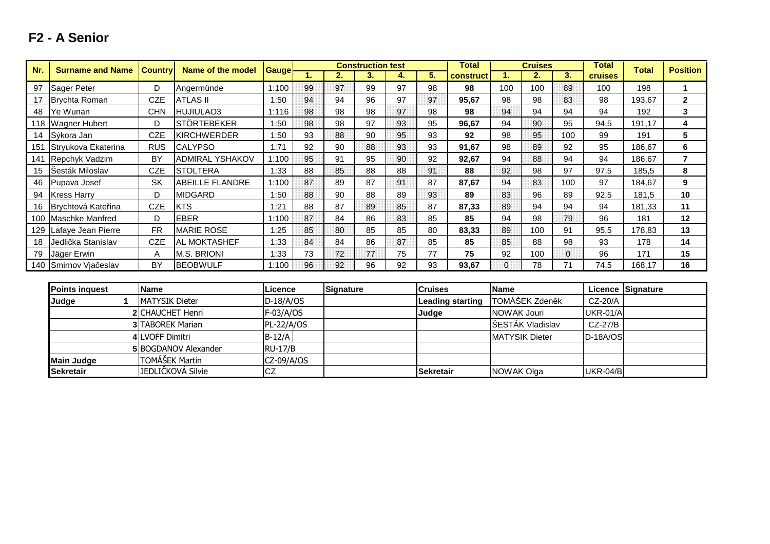# **F2 - A Senior**

| Nr. | <b>Surname and Name</b> | <b>Country</b> | <b>Name of the model</b> |              |    |    | <b>Construction test</b> |    |    | Total     |          | <b>Cruises</b> |          | Total          | Total  | <b>Position</b> |
|-----|-------------------------|----------------|--------------------------|--------------|----|----|--------------------------|----|----|-----------|----------|----------------|----------|----------------|--------|-----------------|
|     |                         |                |                          | <b>Gauge</b> |    | 2. | З.                       | 4. | 5. | construct |          | 2.             | 3.       | <b>cruises</b> |        |                 |
| 97  | Sager Peter             | D              | Angermünde               | 1:100        | 99 | 97 | 99                       | 97 | 98 | 98        | 100      | 100            | 89       | 100            | 198    |                 |
| 17  | Brychta Roman           | <b>CZE</b>     | ATLAS II                 | 1:50         | 94 | 94 | 96                       | 97 | 97 | 95,67     | 98       | 98             | 83       | 98             | 193.67 | $\mathbf{2}$    |
| 48  | Ye Wunan                | CHN            | HUJIULAO3                | 1:116        | 98 | 98 | 98                       | 97 | 98 | 98        | 94       | 94             | 94       | 94             | 192    | 3               |
|     | 118 Wagner Hubert       | D              | <b>STÖRTEBEKER</b>       | 1:50         | 98 | 98 | 97                       | 93 | 95 | 96,67     | 94       | 90             | 95       | 94,5           | 191,17 | 4               |
|     | 14 Sýkora Jan           | CZE            | <b>KIRCHWERDER</b>       | 1:50         | 93 | 88 | 90                       | 95 | 93 | 92        | 98       | 95             | 100      | 99             | 191    | 5               |
|     | 151 Stryukova Ekaterina | <b>RUS</b>     | <b>CALYPSO</b>           | 1:71         | 92 | 90 | 88                       | 93 | 93 | 91,67     | 98       | 89             | 92       | 95             | 186,67 | 6               |
|     | 141 Repchyk Vadzim      | BY             | <b>ADMIRAL YSHAKOV</b>   | 1:100        | 95 | 91 | 95                       | 90 | 92 | 92,67     | 94       | 88             | 94       | 94             | 186,67 |                 |
| 15  | Sesták Miloslav         | CZE            | <b>STOLTERA</b>          | 1:33         | 88 | 85 | 88                       | 88 | 91 | 88        | 92       | 98             | 97       | 97,5           | 185,5  | 8               |
| 46  | Pupava Josef            | <b>SK</b>      | <b>ABEILLE FLANDRE</b>   | 1:100        | 87 | 89 | 87                       | 91 | 87 | 87,67     | 94       | 83             | 100      | 97             | 184,67 | 9               |
| 94  | <b>Kress Harry</b>      | D              | <b>MIDGARD</b>           | 1:50         | 88 | 90 | 88                       | 89 | 93 | 89        | 83       | 96             | 89       | 92,5           | 181,5  | 10              |
| 16  | Brychtová Kateřina      | <b>CZE</b>     | <b>KTS</b>               | 1:21         | 88 | 87 | 89                       | 85 | 87 | 87,33     | 89       | 94             | 94       | 94             | 181,33 | 11              |
|     | 100 Maschke Manfred     | D              | <b>EBER</b>              | 1:100        | 87 | 84 | 86                       | 83 | 85 | 85        | 94       | 98             | 79       | 96             | 181    | 12              |
|     | 129 Lafaye Jean Pierre  | <b>FR</b>      | <b>MARIE ROSE</b>        | 1:25         | 85 | 80 | 85                       | 85 | 80 | 83,33     | 89       | 100            | 91       | 95,5           | 178,83 | 13              |
| 18  | Jedlička Stanislav      | <b>CZE</b>     | <b>AL MOKTASHEF</b>      | 1:33         | 84 | 84 | 86                       | 87 | 85 | 85        | 85       | 88             | 98       | 93             | 178    | 14              |
| 79  | Jäger Erwin             | A              | <b>M.S. BRIONI</b>       | 1:33         | 73 | 72 | 77                       | 75 | 77 | 75        | 92       | 100            | $\Omega$ | 96             | 171    | 15              |
|     | 140 Smirnov Vjačeslav   | BY             | <b>BEOBWULF</b>          | 1:100        | 96 | 92 | 96                       | 92 | 93 | 93,67     | $\bf{0}$ | 78             | 71       | 74,5           | 168.17 | 16              |

| <b>Points inquest</b> | <b>Name</b>                 | lLicence     | <b>Signature</b> | <b>Cruises</b>   | <b>IName</b>          |            | Licence Signature |
|-----------------------|-----------------------------|--------------|------------------|------------------|-----------------------|------------|-------------------|
| Judge                 | <b>IMATYSIK Dieter</b>      | $D-18/A/OS$  |                  | Leading starting | TOMÁŠEK Zdeněk        | $CZ-20/A$  |                   |
|                       | <b>2ICHAUCHET Henri</b>     | $F-03/A/OS$  |                  | <b>Judge</b>     | NOWAK Jouri           | UKR-01/A   |                   |
|                       | <b>3 TABOREK Marian</b>     | $PL-22/A/OS$ |                  |                  | SESTÁK Vladislav      | CZ-27/B    |                   |
|                       | 4 LVOFF Dimitri             | $B-12/A$     |                  |                  | <b>MATYSIK Dieter</b> | $D-18A/OS$ |                   |
|                       | <b>5 BOGDANOV Alexander</b> | $RU-17/B$    |                  |                  |                       |            |                   |
| <b>Main Judge</b>     | TOMÁŠEK Martin              | $CZ-09/A/OS$ |                  |                  |                       |            |                   |
| <b>Sekretair</b>      | JEDLIČKOVÁ Silvie           | ICZ          |                  | <b>Sekretair</b> | NOWAK Olga            | UKR-04/B   |                   |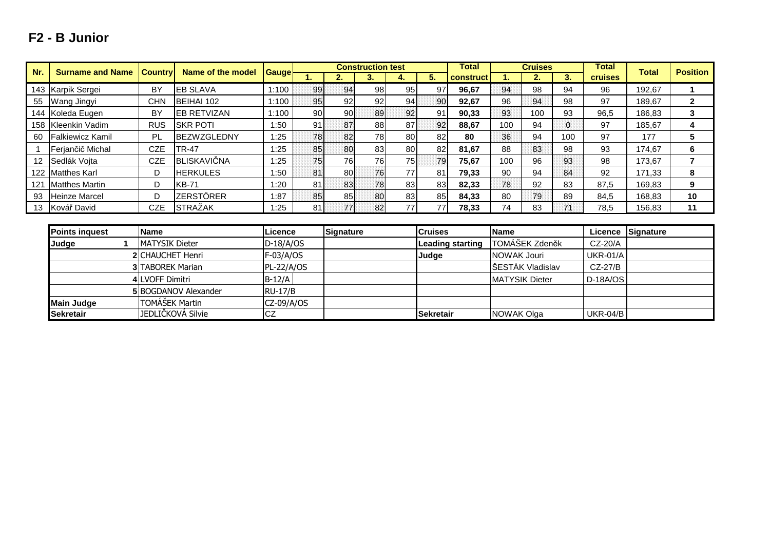### **F2 - B Junior**

| Nr. | <b>Surname and Name</b> | <b>Country</b>           | Name of the model           | <b>Gauge</b>      |    |           | <b>Construction test</b> |    |                  | <b>Total</b>     |                       | <b>Cruises</b> |     | <b>Total</b>    | <b>Total</b> | <b>Position</b> |
|-----|-------------------------|--------------------------|-----------------------------|-------------------|----|-----------|--------------------------|----|------------------|------------------|-----------------------|----------------|-----|-----------------|--------------|-----------------|
|     |                         |                          |                             |                   | 1. | 2.        | 3.                       | 4. | 5.               | construct        | 1.                    | 2.             | 3.  | <b>cruises</b>  |              |                 |
|     | 143 Karpik Sergei       | <b>BY</b>                | <b>EB SLAVA</b>             | 1:100             | 99 | 94        | 98                       | 95 | 97               | 96,67            | 94                    | 98             | 94  | 96              | 192,67       |                 |
| 55  | Wang Jingyi             | <b>CHN</b>               | BEIHAI 102                  | 1:100             | 95 | 92        | 92                       | 94 | 90               | 92,67            | 96                    | 94             | 98  | 97              | 189,67       | $\overline{2}$  |
|     | 144 Koleda Eugen        | BY                       | <b>EB RETVIZAN</b>          | 1:100             | 90 | 90        | 89                       | 92 | 91               | 90,33            | 93                    | 100            | 93  | 96,5            | 186,83       | 3               |
|     | 158 Kleenkin Vadim      | <b>RUS</b>               | <b>SKR POTI</b>             | 1:50              | 91 | 87        | 88                       | 87 | 92               | 88,67            | 100                   | 94             | 0   | 97              | 185,67       | 4               |
| 60  | <b>Falkiewicz Kamil</b> | PL                       | <b>BEZWZGLEDNY</b>          | 1:25              | 78 | 82        | 78                       | 80 | 82               | 80               | 36                    | 94             | 100 | 97              | 177          | 5               |
|     | Ferjančič Michal        | <b>CZE</b>               | TR-47                       | 1:25              | 85 | 80        | 83                       | 80 | 82               | 81,67            | 88                    | 83             | 98  | 93              | 174,67       | 6               |
| 12  | Sedlák Vojta            | <b>CZE</b>               | BLISKAVIČNA                 | 1:25              | 75 | 76        | 76                       | 75 | 79               | 75,67            | 100                   | 96             | 93  | 98              | 173,67       | $\overline{7}$  |
| 122 | <b>Matthes Karl</b>     | D                        | <b>HERKULES</b>             | 1:50              | 81 | 80        | 76                       | 77 | 81               | 79,33            | 90                    | 94             | 84  | 92              | 171,33       | 8               |
| 121 | <b>Matthes Martin</b>   | D                        | <b>KB-71</b>                | 1:20              | 81 | 83        | 78                       | 83 | 83               | 82,33            | 78                    | 92             | 83  | 87,5            | 169,83       | 9               |
| 93  | <b>Heinze Marcel</b>    | D                        | <b>ZERSTÖRER</b>            | 1:87              | 85 | 85        | 80                       | 83 | 85               | 84,33            | 80                    | 79             | 89  | 84,5            | 168,83       | 10              |
| 13  | Kovář David             | <b>CZE</b>               | <b>STRAŽAK</b>              | 1:25              | 81 | 77        | 82                       | 77 | 77               | 78,33            | 74                    | 83             | 71  | 78,5            | 156,83       | 11              |
|     |                         |                          |                             |                   |    |           |                          |    |                  |                  |                       |                |     |                 |              |                 |
|     | <b>Points inquest</b>   | <b>Name</b>              |                             | Licence           |    | Signature |                          |    | <b>Cruises</b>   |                  | <b>Name</b>           |                |     | Licence         | Signature    |                 |
|     | Judge                   | <b>MATYSIK Dieter</b>    |                             | $D-18/A/OS$       |    |           |                          |    |                  | Leading starting | TOMÁŠEK Zdeněk        |                |     | CZ-20/A         |              |                 |
|     |                         | 2 CHAUCHET Henri         |                             | $F-03/A/OS$       |    |           |                          |    | Judge            |                  | <b>NOWAK Jouri</b>    |                |     | <b>UKR-01/A</b> |              |                 |
|     |                         | <b>3 ITABOREK Marian</b> |                             | <b>PL-22/A/OS</b> |    |           |                          |    |                  |                  | ŠESTÁK Vladislav      |                |     | $CZ-27/B$       |              |                 |
|     |                         | <b>4 LVOFF Dimitri</b>   |                             | $B-12/A$          |    |           |                          |    |                  |                  | <b>MATYSIK Dieter</b> |                |     | D-18A/OS        |              |                 |
|     |                         |                          | <b>5 BOGDANOV Alexander</b> | <b>RU-17/B</b>    |    |           |                          |    |                  |                  |                       |                |     |                 |              |                 |
|     | <b>Main Judge</b>       | TOMÁŠEK Martin           |                             | CZ-09/A/OS        |    |           |                          |    |                  |                  |                       |                |     |                 |              |                 |
|     | <b>Sekretair</b>        |                          | JEDLIČKOVÁ Silvie           | <b>CZ</b>         |    |           |                          |    | <b>Sekretair</b> |                  | NOWAK Olga            |                |     | <b>UKR-04/B</b> |              |                 |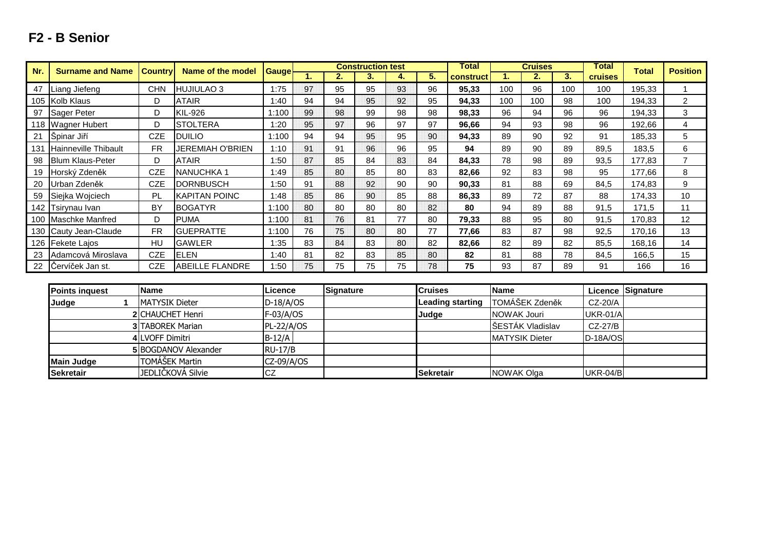| Nr.   | <b>Surname and Name</b>     | <b>Country</b> | Name of the model      |              |    |    | <b>Construction test</b> |    |    | Total     |     | <b>Cruises</b> |     | Total          | <b>Total</b> | <b>Position</b> |
|-------|-----------------------------|----------------|------------------------|--------------|----|----|--------------------------|----|----|-----------|-----|----------------|-----|----------------|--------------|-----------------|
|       |                             |                |                        | <b>Gauge</b> | ъ. |    | 3.                       | 4. | 5. | construct |     | 2.             | 3.  | <b>cruises</b> |              |                 |
| 47    | Liang Jiefeng               | CHN            | HUJIULAO 3             | 1:75         | 97 | 95 | 95                       | 93 | 96 | 95,33     | 100 | 96             | 100 | 100            | 195,33       |                 |
|       | 105 Kolb Klaus              | D              | <b>ATAIR</b>           | 1:40         | 94 | 94 | 95                       | 92 | 95 | 94,33     | 100 | 100            | 98  | 100            | 194,33       | 2               |
| 97    | Sager Peter                 | D              | <b>KIL-926</b>         | 1:100        | 99 | 98 | 99                       | 98 | 98 | 98,33     | 96  | 94             | 96  | 96             | 194,33       | 3               |
|       | 118   Wagner Hubert         | D              | <b>ISTOLTERA</b>       | 1:20         | 95 | 97 | 96                       | 97 | 97 | 96,66     | 94  | 93             | 98  | 96             | 192,66       | 4               |
| 21    | Špinar Jiří                 | CZE            | <b>DUILIO</b>          | 1:100        | 94 | 94 | 95                       | 95 | 90 | 94,33     | 89  | 90             | 92  | 91             | 185,33       | 5               |
| 131   | <b>Hainneville Thibault</b> | <b>FR</b>      | JEREMIAH O'BRIEN       | 1:10         | 91 | 91 | 96                       | 96 | 95 | 94        | 89  | 90             | 89  | 89,5           | 183,5        | 6               |
| 98    | <b>Blum Klaus-Peter</b>     | D              | <b>ATAIR</b>           | 1:50         | 87 | 85 | 84                       | 83 | 84 | 84,33     | 78  | 98             | 89  | 93,5           | 177,83       |                 |
| 19    | Horský Zdeněk               | CZE            | <b>NANUCHKA1</b>       | 1:49         | 85 | 80 | 85                       | 80 | 83 | 82,66     | 92  | 83             | 98  | 95             | 177,66       | 8               |
| 20    | Urban Zdeněk                | <b>CZE</b>     | <b>DORNBUSCH</b>       | 1:50         | 91 | 88 | 92                       | 90 | 90 | 90,33     | 81  | 88             | 69  | 84,5           | 174,83       | 9               |
| 59    | Siejka Wojciech             | <b>PL</b>      | IKAPITAN POINC         | 1:48         | 85 | 86 | 90                       | 85 | 88 | 86,33     | 89  | 72             | 87  | 88             | 174,33       | 10              |
| 142 I | Tsirynau Ivan               | BY             | <b>BOGATYR</b>         | 1:100        | 80 | 80 | 80                       | 80 | 82 | 80        | 94  | 89             | 88  | 91,5           | 171,5        | 11              |
|       | 100 Maschke Manfred         | D              | <b>PUMA</b>            | 1:100        | 81 | 76 | 81                       | 77 | 80 | 79,33     | 88  | 95             | 80  | 91,5           | 170,83       | 12              |
|       | 130 Cauty Jean-Claude       | <b>FR</b>      | <b>GUEPRATTE</b>       | 1:100        | 76 | 75 | 80                       | 80 | 77 | 77.66     | 83  | 87             | 98  | 92,5           | 170,16       | 13              |
|       | 126 Fekete Lajos            | HU             | <b>GAWLER</b>          | 1:35         | 83 | 84 | 83                       | 80 | 82 | 82,66     | 82  | 89             | 82  | 85,5           | 168,16       | 14              |
| 23    | Adamcová Miroslava          | <b>CZE</b>     | ELEN                   | 1:40         | 81 | 82 | 83                       | 85 | 80 | 82        | 81  | 88             | 78  | 84,5           | 166,5        | 15              |
|       | 22 Cervíček Jan st.         | <b>CZE</b>     | <b>ABEILLE FLANDRE</b> | 1:50         | 75 | 75 | 75                       | 75 | 78 | 75        | 93  | 87             | 89  | 91             | 166          | 16              |

| F <sub>2</sub> - B Senior |  |
|---------------------------|--|
|---------------------------|--|

| <b>Points inquest</b> | <b>Name</b>                 | Licence        | <b>Signature</b> | <b>Cruises</b>   | <b>Name</b>           |                 | Licence Signature |
|-----------------------|-----------------------------|----------------|------------------|------------------|-----------------------|-----------------|-------------------|
| <b>Judge</b>          | <b>IMATYSIK Dieter</b>      | $D-18/A/OS$    |                  | Leading starting | TOMÁŠEK Zdeněk        | CZ-20/A         |                   |
|                       | 2 CHAUCHET Henri            | $F-03/A/OS$    |                  | Judge            | NOWAK Jouri           | <b>UKR-01/A</b> |                   |
|                       | <b>3 TABOREK Marian</b>     | $PL-22/A/OS$   |                  |                  | ŠESTÁK Vladislav      | CZ-27/B         |                   |
|                       | 4 LVOFF Dimitri             | $B-12/A$       |                  |                  | <b>MATYSIK Dieter</b> | $D-18A/OS$      |                   |
|                       | <b>5 BOGDANOV Alexander</b> | <b>RU-17/B</b> |                  |                  |                       |                 |                   |
| Main Judge            | TOMÁŠEK Martin              | CZ-09/A/OS     |                  |                  |                       |                 |                   |
| <b>Sekretair</b>      | JEDLIČKOVÁ Silvie           | <b>CZ</b>      |                  | Sekretair        | NOWAK Olga            | <b>UKR-04/B</b> |                   |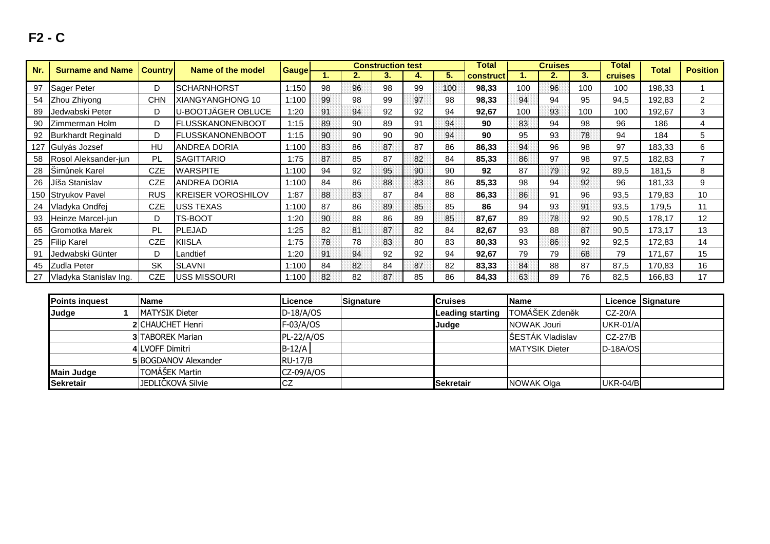# **F2 - C**

| Nr. | <b>Surname and Name</b>   | <b>Country</b> | Name of the model         | <b>Gauge</b> |    |    | <b>Construction test</b> |    |     | Total            |     | <b>Cruises</b> |     | Total          | <b>Total</b> | <b>Position</b> |
|-----|---------------------------|----------------|---------------------------|--------------|----|----|--------------------------|----|-----|------------------|-----|----------------|-----|----------------|--------------|-----------------|
|     |                           |                |                           |              |    | 2. | 3.                       | 4. | 5.  | <b>construct</b> |     | 2.             | 3.  | <b>cruises</b> |              |                 |
| 97  | Sager Peter               |                | ISCHARNHORST              | 1:150        | 98 | 96 | 98                       | 99 | 100 | 98,33            | 100 | 96             | 100 | 100            | 198,33       |                 |
| 54  | Zhou Zhiyong              | <b>CHN</b>     | XIANGYANGHONG 10          | 1:100        | 99 | 98 | 99                       | 97 | 98  | 98,33            | 94  | 94             | 95  | 94,5           | 192,83       | 2               |
| 89  | Jedwabski Peter           | D              | U-BOOTJÄGER OBLUCE        | 1:20         | 91 | 94 | 92                       | 92 | 94  | 92,67            | 100 | 93             | 100 | 100            | 192,67       | 3               |
| 90  | Zimmerman Holm            | D              | <b>FLUSSKANONENBOOT</b>   | 1:15         | 89 | 90 | 89                       | 91 | 94  | 90               | 83  | 94             | 98  | 96             | 186          | 4               |
| 92  | <b>Burkhardt Reginald</b> |                | <b>FLUSSKANONENBOOT</b>   | 1:15         | 90 | 90 | 90                       | 90 | 94  | 90               | 95  | 93             | 78  | 94             | 184          | 5               |
|     | 127 Gulyás Jozsef         | HU             | <b>ANDREA DORIA</b>       | 1:100        | 83 | 86 | 87                       | 87 | 86  | 86,33            | 94  | 96             | 98  | 97             | 183,33       | 6               |
| 58  | Rosol Aleksander-jun      | PL             | <b>SAGITTARIO</b>         | 1:75         | 87 | 85 | 87                       | 82 | 84  | 85,33            | 86  | 97             | 98  | 97,5           | 182,83       |                 |
| 28  | Simunek Karel             | CZE            | <b>WARSPITE</b>           | 1:100        | 94 | 92 | 95                       | 90 | 90  | 92               | 87  | 79             | 92  | 89,5           | 181,5        | 8               |
| 26  | Jíša Stanislav            | CZE            | <b>ANDREA DORIA</b>       | 1:100        | 84 | 86 | 88                       | 83 | 86  | 85,33            | 98  | 94             | 92  | 96             | 181,33       | 9               |
|     | 150 Stryukov Pavel        | <b>RUS</b>     | <b>KREISER VOROSHILOV</b> | 1:87         | 88 | 83 | 87                       | 84 | 88  | 86,33            | 86  | 91             | 96  | 93,5           | 179,83       | 10              |
| 24  | Vladyka Ondřej            | <b>CZE</b>     | <b>USS TEXAS</b>          | 1:100        | 87 | 86 | 89                       | 85 | 85  | 86               | 94  | 93             | 91  | 93,5           | 179,5        | 11              |
| 93  | Heinze Marcel-jun         | D              | TS-BOOT                   | 1:20         | 90 | 88 | 86                       | 89 | 85  | 87,67            | 89  | 78             | 92  | 90,5           | 178,17       | 12              |
| 65  | <b>Gromotka Marek</b>     | PL             | PLEJAD                    | 1:25         | 82 | 81 | 87                       | 82 | 84  | 82,67            | 93  | 88             | 87  | 90,5           | 173,17       | 13              |
| 25  | <b>Filip Karel</b>        | <b>CZE</b>     | <b>KIISLA</b>             | 1:75         | 78 | 78 | 83                       | 80 | 83  | 80,33            | 93  | 86             | 92  | 92,5           | 172,83       | 14              |
| 91  | Jedwabski Günter          | D.             | Landtief                  | 1:20         | 91 | 94 | 92                       | 92 | 94  | 92,67            | 79  | 79             | 68  | 79             | 171.67       | 15              |
| 45  | <b>Zudla Peter</b>        | <b>SK</b>      | <b>SLAVNI</b>             | 1:100        | 84 | 82 | 84                       | 87 | 82  | 83,33            | 84  | 88             | 87  | 87,5           | 170,83       | 16              |
| 27  | Vladyka Stanislav Ing.    | <b>CZE</b>     | <b>USS MISSOURI</b>       | 1:100        | 82 | 82 | 87                       | 85 | 86  | 84,33            | 63  | 89             | 76  | 82,5           | 166,83       | 17              |

| <b>Points inquest</b> | <b>Name</b>             | Licence        | <b>Signature</b> | <b>Cruises</b>   | <b>Name</b>           |                 | Licence Signature |
|-----------------------|-------------------------|----------------|------------------|------------------|-----------------------|-----------------|-------------------|
| Judge                 | <b>IMATYSIK Dieter</b>  | $D-18/A/OS$    |                  | Leading starting | TOMÁŠEK Zdeněk        | CZ-20/A         |                   |
|                       | <b>2ICHAUCHET Henri</b> | $F-03/A/OS$    |                  | <b>Judge</b>     | NOWAK Jouri           | <b>UKR-01/A</b> |                   |
|                       | <b>3 TABOREK Marian</b> | PL-22/A/OS     |                  |                  | SESTÁK Vladislav      | CZ-27/B         |                   |
|                       | <b>4 LVOFF Dimitri</b>  | $B-12/A$       |                  |                  | <b>MATYSIK Dieter</b> | D-18A/OS        |                   |
|                       | 5 BOGDANOV Alexander    | <b>RU-17/B</b> |                  |                  |                       |                 |                   |
| <b>Main Judge</b>     | TOMÁŠEK Martin          | $CZ-09/A/OS$   |                  |                  |                       |                 |                   |
| <b>Sekretair</b>      | JEDLIČKOVÁ Silvie       | <b>CZ</b>      |                  | <b>Sekretair</b> | NOWAK Olga            | <b>UKR-04/B</b> |                   |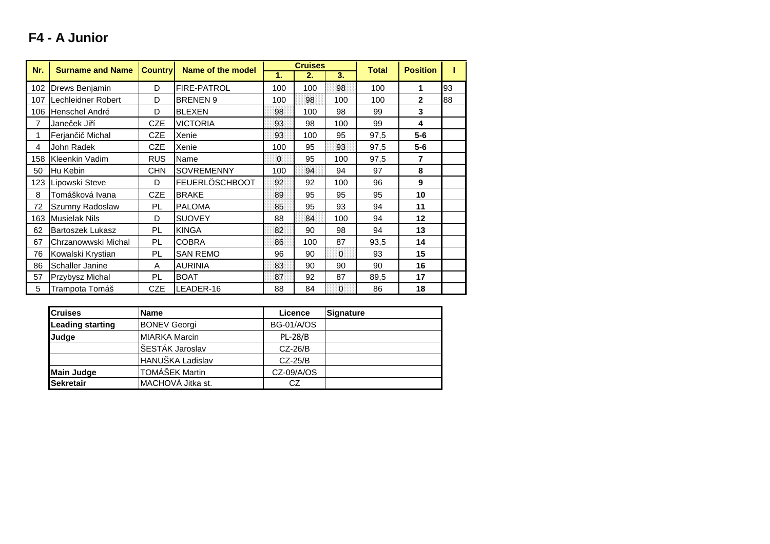## **F4 - A Junior**

| Nr. | <b>Surname and Name</b> | <b>Country</b> | Name of the model     |          | <b>Cruises</b> |          | <b>Total</b> | <b>Position</b> |    |
|-----|-------------------------|----------------|-----------------------|----------|----------------|----------|--------------|-----------------|----|
|     |                         |                |                       | 1.       | 2.             | 3.       |              |                 |    |
| 102 | Drews Benjamin          | D              | <b>FIRE-PATROL</b>    | 100      | 100            | 98       | 100          | 1               | 93 |
| 107 | Lechleidner Robert      | D              | <b>BRENEN 9</b>       | 100      | 98             | 100      | 100          | $\overline{2}$  | 88 |
| 106 | Henschel André          | D              | <b>BLEXEN</b>         | 98       | 100            | 98       | 99           | 3               |    |
| 7   | Janeček Jiří            | <b>CZE</b>     | <b>VICTORIA</b>       | 93       | 98             | 100      | 99           | 4               |    |
| 1   | Ferjančič Michal        | <b>CZE</b>     | Xenie                 | 93       | 100            | 95       | 97,5         | $5-6$           |    |
| 4   | John Radek              | <b>CZE</b>     | Xenie                 | 100      | 95             | 93       | 97,5         | $5-6$           |    |
| 158 | Kleenkin Vadim          | <b>RUS</b>     | Name                  | $\Omega$ | 95             | 100      | 97,5         | 7               |    |
| 50  | Hu Kebin                | <b>CHN</b>     | SOVREMENNY            | 100      | 94             | 94       | 97           | 8               |    |
| 123 | Lipowski Steve          | D              | <b>FEUERLÖSCHBOOT</b> | 92       | 92             | 100      | 96           | 9               |    |
| 8   | Tomášková Ivana         | <b>CZE</b>     | <b>BRAKE</b>          | 89       | 95             | 95       | 95           | 10              |    |
| 72  | Szumny Radoslaw         | PL             | <b>PALOMA</b>         | 85       | 95             | 93       | 94           | 11              |    |
| 163 | <b>Musielak Nils</b>    | D              | <b>SUOVEY</b>         | 88       | 84             | 100      | 94           | 12              |    |
| 62  | <b>Bartoszek Lukasz</b> | PL             | <b>KINGA</b>          | 82       | 90             | 98       | 94           | 13              |    |
| 67  | Chrzanowwski Michal     | PL.            | <b>COBRA</b>          | 86       | 100            | 87       | 93,5         | 14              |    |
| 76  | Kowalski Krystian       | PL             | <b>SAN REMO</b>       | 96       | 90             | $\Omega$ | 93           | 15              |    |
| 86  | Schaller Janine         | A              | <b>AURINIA</b>        | 83       | 90             | 90       | 90           | 16              |    |
| 57  | Przybysz Michal         | PL             | <b>BOAT</b>           | 87       | 92             | 87       | 89,5         | 17              |    |
| 5   | Trampota Tomáš          | <b>CZE</b>     | LEADER-16             | 88       | 84             | 0        | 86           | 18              |    |

| <b>Cruises</b>          | <b>Name</b>           | Licence           | <b>Signature</b> |
|-------------------------|-----------------------|-------------------|------------------|
| <b>Leading starting</b> | <b>BONEV Georgi</b>   | <b>BG-01/A/OS</b> |                  |
| Judge                   | <b>MIARKA Marcin</b>  | $PL-28/B$         |                  |
|                         | ŠESTÁK Jaroslav       | $CZ-26/B$         |                  |
|                         | HANUŠKA Ladislav      | $CZ-25/B$         |                  |
| <b>Main Judge</b>       | <b>TOMÁŠEK Martin</b> | CZ-09/A/OS        |                  |
| Sekretair               | MACHOVA Jitka st.     | CZ                |                  |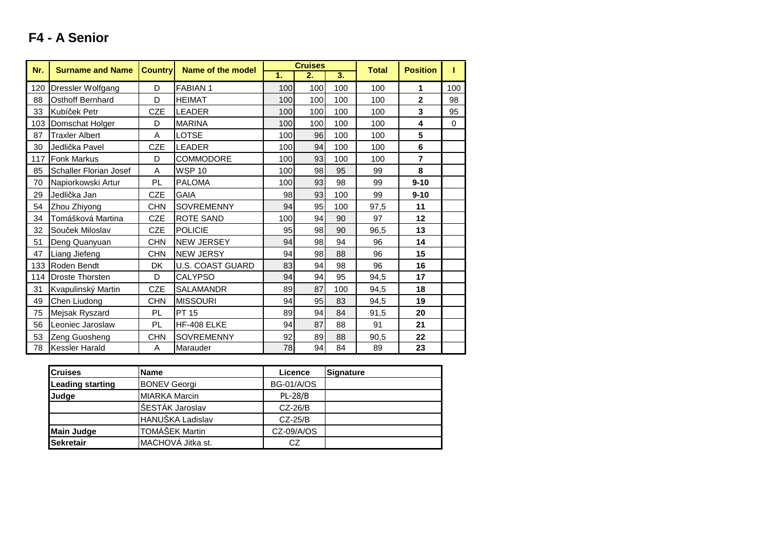| Nr. | <b>Surname and Name</b> | <b>Country</b> | Name of the model       | <b>Cruises</b> |     |     | <b>Total</b> | <b>Position</b> |          |
|-----|-------------------------|----------------|-------------------------|----------------|-----|-----|--------------|-----------------|----------|
|     |                         |                |                         | 1.             | 2.  | 3.  |              |                 |          |
| 120 | Dressler Wolfgang       | D              | <b>FABIAN1</b>          | 100            | 100 | 100 | 100          | 1               | 100      |
| 88  | <b>Osthoff Bernhard</b> | D              | <b>HEIMAT</b>           | 100            | 100 | 100 | 100          | $\overline{2}$  | 98       |
| 33  | Kubíček Petr            | <b>CZE</b>     | <b>LEADER</b>           | 100            | 100 | 100 | 100          | 3               | 95       |
| 103 | Domschat Holger         | D              | <b>MARINA</b>           | 100            | 100 | 100 | 100          | 4               | $\Omega$ |
| 87  | <b>Traxler Albert</b>   | A              | LOTSE                   | 100            | 96  | 100 | 100          | 5               |          |
| 30  | Jedlička Pavel          | <b>CZE</b>     | <b>LEADER</b>           | 100            | 94  | 100 | 100          | $6\phantom{1}$  |          |
| 117 | <b>Fonk Markus</b>      | D              | COMMODORE               | 100            | 93  | 100 | 100          | $\overline{7}$  |          |
| 85  | Schaller Florian Josef  | Α              | <b>WSP 10</b>           | 100            | 98  | 95  | 99           | 8               |          |
| 70  | Napiorkowski Artur      | PL             | <b>PALOMA</b>           | 100            | 93  | 98  | 99           | $9 - 10$        |          |
| 29  | Jedlička Jan            | <b>CZE</b>     | <b>GAIA</b>             | 98             | 93  | 100 | 99           | $9 - 10$        |          |
| 54  | Zhou Zhiyong            | <b>CHN</b>     | <b>SOVREMENNY</b>       | 94             | 95  | 100 | 97,5         | 11              |          |
| 34  | Tomášková Martina       | <b>CZE</b>     | <b>ROTE SAND</b>        | 100            | 94  | 90  | 97           | 12              |          |
| 32  | Souček Miloslav         | <b>CZE</b>     | <b>POLICIE</b>          | 95             | 98  | 90  | 96,5         | 13              |          |
| 51  | Deng Quanyuan           | <b>CHN</b>     | <b>NEW JERSEY</b>       | 94             | 98  | 94  | 96           | 14              |          |
| 47  | Liang Jiefeng           | <b>CHN</b>     | <b>NEW JERSY</b>        | 94             | 98  | 88  | 96           | 15              |          |
| 133 | Roden Bendt             | DK.            | <b>U.S. COAST GUARD</b> | 83             | 94  | 98  | 96           | 16              |          |
| 114 | <b>Droste Thorsten</b>  | D              | <b>CALYPSO</b>          | 94             | 94  | 95  | 94,5         | 17              |          |
| 31  | Kvapulinský Martin      | <b>CZE</b>     | <b>SALAMANDR</b>        | 89             | 87  | 100 | 94,5         | 18              |          |
| 49  | Chen Liudong            | <b>CHN</b>     | <b>MISSOURI</b>         | 94             | 95  | 83  | 94,5         | 19              |          |
| 75  | Mejsak Ryszard          | PL             | <b>PT 15</b>            | 89             | 94  | 84  | 91,5         | 20              |          |
| 56  | Leoniec Jaroslaw        | PL             | HF-408 ELKE             | 94             | 87  | 88  | 91           | 21              |          |
| 53  | Zeng Guosheng           | <b>CHN</b>     | <b>SOVREMENNY</b>       | 92             | 89  | 88  | 90,5         | 22              |          |
| 78  | <b>Kessler Harald</b>   | A              | Marauder                | 78             | 94  | 84  | 89           | 23              |          |

| <b>Cruises</b>          | <b>Name</b>           | Licence           | Signature |
|-------------------------|-----------------------|-------------------|-----------|
| <b>Leading starting</b> | <b>BONEV Georgi</b>   | <b>BG-01/A/OS</b> |           |
| Judge                   | <b>MIARKA Marcin</b>  | <b>PL-28/B</b>    |           |
|                         | ŠESTÁK Jaroslav       | $CZ-26/B$         |           |
|                         | HANUŠKA Ladislav      | $CZ-25/B$         |           |
| <b>Main Judge</b>       | <b>TOMÁŠEK Martin</b> | $CZ-09/A/OS$      |           |
| Sekretair               | MACHOVÁ Jitka st.     | CZ.               |           |

### **F4 - A Senior**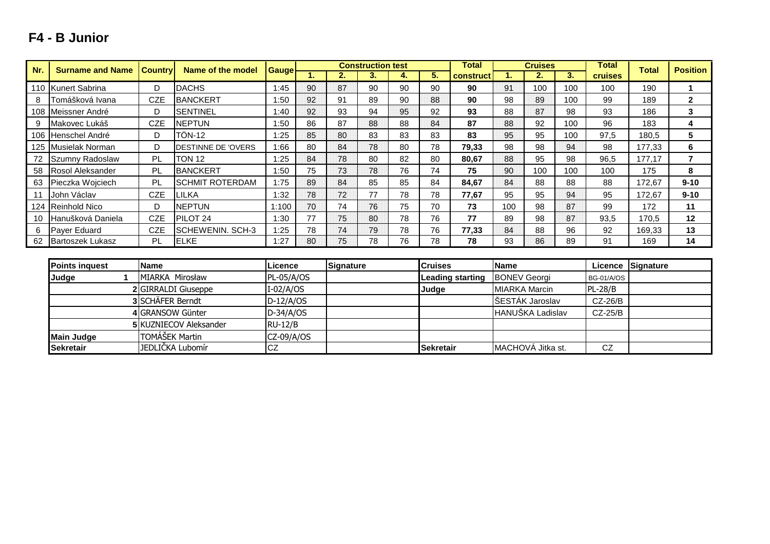#### **1. 2. 3. 4. 5. 1. 2. 3.** 110 Kunert Sabrina | D DACHS | 1:45 | 90 | 87 | 90 | 90 | 90 **<sup>90</sup>** <sup>91</sup> <sup>100</sup> <sup>100</sup> <sup>100</sup> <sup>190</sup> **<sup>1</sup>** 8 Tomášková Ivana | CZE BANCKERT | 1:50 | 92 | 91 | 89 | 90 | 88 **<sup>90</sup>** <sup>98</sup> <sup>89</sup> <sup>100</sup> <sup>99</sup> <sup>189</sup> **<sup>2</sup>** 108 Meissner André D SENTINEL 1:40 92 93 94 95 92 **<sup>93</sup>** <sup>88</sup> <sup>87</sup> <sup>98</sup> <sup>93</sup> <sup>186</sup> **<sup>3</sup>** 9 Makovec Lukáš – I CZE INEPTUN – I 1:50 I 86 I 87 I 88 I 88 I 84 **<sup>87</sup>** <sup>88</sup> <sup>92</sup> <sup>100</sup> <sup>96</sup> <sup>183</sup> **<sup>4</sup>** 106 Henschel André D TÖN-12 1:25 85 80 83 83 83 **<sup>83</sup>** <sup>95</sup> <sup>95</sup> <sup>100</sup> 97,5 180,5 **<sup>5</sup>** 125 Musielak Norman D DESTINNE DE 'OVERS 1:66 <sup>80</sup> <sup>84</sup> <sup>78</sup> <sup>80</sup> <sup>78</sup> **79,33** <sup>98</sup> <sup>98</sup> <sup>94</sup> <sup>98</sup> 177,33 **<sup>6</sup>** 72 Szumny Radoslaw PL TON 12 1:25 84 78 80 82 80 **80,67** <sup>88</sup> <sup>95</sup> <sup>98</sup> 96,5 177,17 **<sup>7</sup>** 58 Rosol Aleksander | PL BANCKERT | 1:50 | 75 | 73 | 78 | 76 | 74 **<sup>75</sup>** <sup>90</sup> <sup>100</sup> <sup>100</sup> <sup>100</sup> <sup>175</sup> **<sup>8</sup>** 63 Pieczka Wojciech | PL SCHMIT ROTERDAM | 1:75 | 89 | 84 | 85 | 85 | 84 **84,67** <sup>84</sup> <sup>88</sup> <sup>88</sup> <sup>88</sup> 172,67 **9-10** <sup>11</sup> John Václav CZE LILKA 1:32 78 <sup>72</sup> <sup>77</sup> 78 78 **77,67** <sup>95</sup> <sup>95</sup> <sup>94</sup> <sup>95</sup> 172,67 **9-10** 124 Reinhold Nico **D** NEPTUN 1:100 70 74 76 75 70 **<sup>73</sup>** <sup>100</sup> <sup>98</sup> <sup>87</sup> <sup>99</sup> <sup>172</sup> **<sup>11</sup>** 10 Hanušková Daniela | CZE PILOT 24 | 1:30 | 77 | 75 | 80 | 78 | 76 **<sup>77</sup>** <sup>89</sup> <sup>98</sup> <sup>87</sup> 93,5 170,5 **<sup>12</sup>** 6 Payer Eduard | CZE SCHEWENIN. SCH-3 | 1:25 | 78 | 74 | 79 | 78 | 76 **77,33** <sup>84</sup> <sup>88</sup> <sup>96</sup> <sup>92</sup> 169,33 **<sup>13</sup>** 62 Bartoszek Lukasz PL ELKE 1:27 80 75 78 76 76 **Cruisesk Position**<br> **Position**<br> **Position** Total Total<br>cruises Total **Nr. Surname and NameCountryRame of the model Gauge Total construction test Total Total**

| <b>Points inquest</b> | <b>Name</b>                | Licence     | Signature | <b>Cruises</b>   | <b>Name</b>               |                   | Licence Signature |
|-----------------------|----------------------------|-------------|-----------|------------------|---------------------------|-------------------|-------------------|
| Judge                 | <b>IMIARKA Mirosław</b>    | PL-05/A/OS  |           | Leading starting | <b>BONEV Georgi</b>       | <b>BG-01/A/OS</b> |                   |
|                       | <b>2</b> GIRRALDI Giuseppe | $I-02/A/OS$ |           | <b>Judge</b>     | MIARKA Marcin             | $PL-28/B$         |                   |
|                       | 3 SCHÄFER Berndt           | $D-12/A/OS$ |           |                  | ŠESTÁK Jaroslav           | $CZ-26/B$         |                   |
|                       | 4 GRANSOW Günter           | $D-34/A/OS$ |           |                  | <b>HANUŠKA Ladislav</b>   | $CZ-25/B$         |                   |
|                       | 5 KUZNIECOV Aleksander     | $RU-12/B$   |           |                  |                           |                   |                   |
| <b>Main Judge</b>     | TOMÁŠEK Martin             | CZ-09/A/OS  |           |                  |                           |                   |                   |
| Sekretair             | JEDLIČKA Lubomír           | CZ          |           | <b>Sekretair</b> | <b>IMACHOVA Jitka st.</b> | CZ                |                   |

<u>8 | 78 | 93 | 86 | 89 | 91 | 169 | 14</u>

### **F4 - B Junior**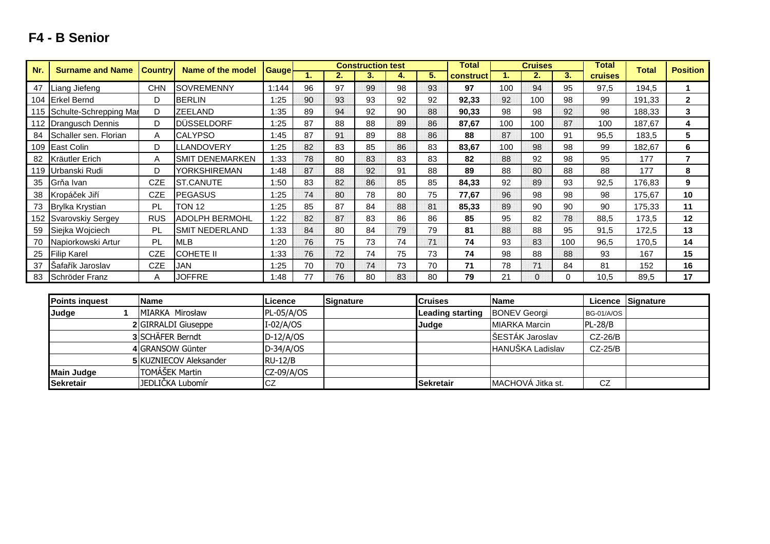### **F4 - B Senior**

| Nr. | <b>Surname and Name</b>    | <b>Country</b> | Name of the model      | <b>Gauge</b> |    | <b>Construction test</b> |    |    | Total |           | <b>Cruises</b> |              | <b>Total</b> | <b>Total</b>   | <b>Position</b> |                |
|-----|----------------------------|----------------|------------------------|--------------|----|--------------------------|----|----|-------|-----------|----------------|--------------|--------------|----------------|-----------------|----------------|
|     |                            |                |                        |              |    | 2.                       | 3. | 4. | 5.    | construct | 1.             | 2.           | 3.           | <b>cruises</b> |                 |                |
| 47  | Liang Jiefeng              | <b>CHN</b>     | <b>SOVREMENNY</b>      | 1:144        | 96 | 97                       | 99 | 98 | 93    | 97        | 100            | 94           | 95           | 97,5           | 194,5           |                |
|     | 104 Erkel Bernd            | D              | <b>BERLIN</b>          | 1:25         | 90 | 93                       | 93 | 92 | 92    | 92,33     | 92             | 100          | 98           | 99             | 191,33          | $\overline{2}$ |
|     | 115 Schulte-Schrepping Mar | D              | <b>ZEELAND</b>         | 1:35         | 89 | 94                       | 92 | 90 | 88    | 90,33     | 98             | 98           | 92           | 98             | 188,33          | 3              |
|     | 112 Drangusch Dennis       | D              | DÜSSELDORF             | 1:25         | 87 | 88                       | 88 | 89 | 86    | 87,67     | 100            | 100          | 87           | 100            | 187,67          | 4              |
| 84  | Schaller sen. Florian      | Α              | <b>CALYPSO</b>         | 1:45         | 87 | 91                       | 89 | 88 | 86    | 88        | 87             | 100          | 91           | 95,5           | 183,5           | 5              |
|     | 109 East Colin             | D              | LLANDOVERY             | 1:25         | 82 | 83                       | 85 | 86 | 83    | 83,67     | 100            | 98           | 98           | 99             | 182,67          | 6              |
| 82  | Kräutler Erich             | A              | <b>SMIT DENEMARKEN</b> | 1:33         | 78 | 80                       | 83 | 83 | 83    | 82        | 88             | 92           | 98           | 95             | 177             | $\overline{7}$ |
|     | 119 Urbanski Rudi          | D              | <b>YORKSHIREMAN</b>    | 1:48         | 87 | 88                       | 92 | 91 | 88    | 89        | 88             | 80           | 88           | 88             | 177             | 8              |
| 35  | Grňa Ivan                  | <b>CZE</b>     | <b>ST.CANUTE</b>       | 1:50         | 83 | 82                       | 86 | 85 | 85    | 84,33     | 92             | 89           | 93           | 92,5           | 176,83          | 9              |
| 38  | Kropáček Jiří              | <b>CZE</b>     | <b>PEGASUS</b>         | 1:25         | 74 | 80                       | 78 | 80 | 75    | 77,67     | 96             | 98           | 98           | 98             | 175,67          | 10             |
| 73  | <b>Brylka Krystian</b>     | PL             | <b>TON 12</b>          | 1:25         | 85 | 87                       | 84 | 88 | 81    | 85,33     | 89             | 90           | 90           | 90             | 175,33          | 11             |
|     | 152 Svarovskiy Sergey      | <b>RUS</b>     | <b>ADOLPH BERMOHL</b>  | 1:22         | 82 | 87                       | 83 | 86 | 86    | 85        | 95             | 82           | 78           | 88,5           | 173,5           | 12             |
| 59  | Siejka Wojciech            | PL             | <b>SMIT NEDERLAND</b>  | 1:33         | 84 | 80                       | 84 | 79 | 79    | 81        | 88             | 88           | 95           | 91,5           | 172,5           | 13             |
| 70  | Napiorkowski Artur         | PL             | <b>MLB</b>             | 1:20         | 76 | 75                       | 73 | 74 | 71    | 74        | 93             | 83           | 100          | 96,5           | 170,5           | 14             |
| 25  | <b>Filip Karel</b>         | <b>CZE</b>     | <b>COHETE II</b>       | 1:33         | 76 | 72                       | 74 | 75 | 73    | 74        | 98             | 88           | 88           | 93             | 167             | 15             |
| 37  | Šafařík Jaroslav           | <b>CZE</b>     | JAN                    | 1:25         | 70 | 70                       | 74 | 73 | 70    | 71        | 78             | 71           | 84           | 81             | 152             | 16             |
| 83  | Schröder Franz             | A              | <b>JOFFRE</b>          | 1:48         | 77 | 76                       | 80 | 83 | 80    | 79        | 21             | $\mathbf{0}$ | 0            | 10,5           | 89,5            | 17             |
|     |                            |                |                        |              |    |                          |    |    |       |           |                |              |              |                |                 |                |

| <b>Points inquest</b> | <b>Name</b>                   | <b>Licence</b> | <b>Signature</b> | <b>Cruises</b>   | <b>Name</b>             |                   | Licence Signature |
|-----------------------|-------------------------------|----------------|------------------|------------------|-------------------------|-------------------|-------------------|
| Judge                 | MIARKA Mirosław               | $PL-05/A/OS$   |                  | Leading starting | <b>BONEV Georgi</b>     | <b>BG-01/A/OS</b> |                   |
|                       | 2 GIRRALDI Giuseppe           | $I-02/A/OS$    |                  | <b>Judge</b>     | <b>IMIARKA Marcin</b>   | $PL-28/B$         |                   |
|                       | 3 SCHÄFER Berndt              | $D-12/A/OS$    |                  |                  | ŠESTÁK Jaroslav         | $CZ-26/B$         |                   |
|                       | 4 GRANSOW Günter              | $D-34/A/OS$    |                  |                  | <b>HANUŠKA Ladislav</b> | CZ-25/B           |                   |
|                       | <b>5 KUZNIECOV Aleksander</b> | $RU-12/B$      |                  |                  |                         |                   |                   |
| <b>Main Judge</b>     | TOMÁŠEK Martin                | $CZ-09/A/OS$   |                  |                  |                         |                   |                   |
| <b>Sekretair</b>      | JEDLICKA Lubomír              | <b>CZ</b>      |                  | <b>Sekretair</b> | IMACHOVA Jitka st.      | CZ                |                   |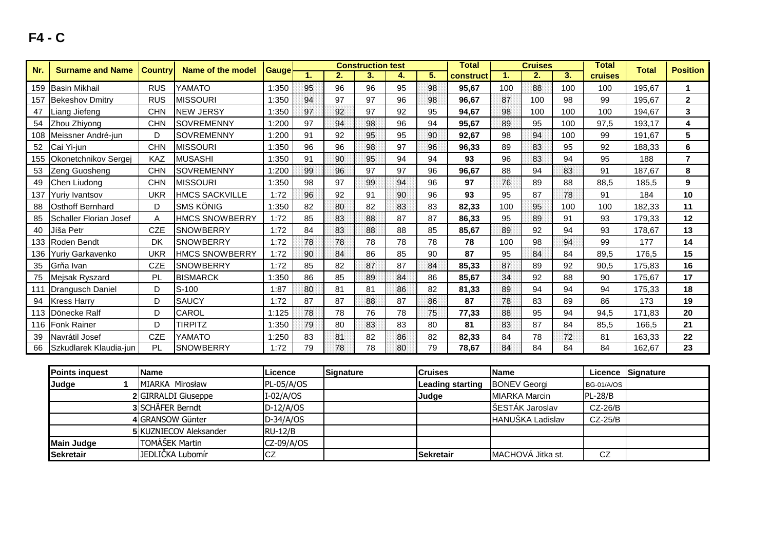| Nr. | <b>Surname and Name</b>       | <b>Country</b> | Name of the model     | Gauge | <b>Construction test</b> |    | <b>Total</b> | <b>Cruises</b> |    |           | <b>Total</b> | <b>Total</b> | <b>Position</b> |                |        |                |
|-----|-------------------------------|----------------|-----------------------|-------|--------------------------|----|--------------|----------------|----|-----------|--------------|--------------|-----------------|----------------|--------|----------------|
|     |                               |                |                       |       |                          | 2. | 3.           | 4.             | 5. | construct | 1.           | 2.           | 3.              | <b>cruises</b> |        |                |
|     | 159 Basin Mikhail             | <b>RUS</b>     | YAMATO                | 1:350 | 95                       | 96 | 96           | 95             | 98 | 95,67     | 100          | 88           | 100             | 100            | 195,67 |                |
| 157 | <b>Bekeshov Dmitry</b>        | <b>RUS</b>     | <b>MISSOURI</b>       | 1:350 | 94                       | 97 | 97           | 96             | 98 | 96,67     | 87           | 100          | 98              | 99             | 195,67 | $\mathbf{2}$   |
| 47  | Liang Jiefeng                 | <b>CHN</b>     | <b>NEW JERSY</b>      | 1:350 | 97                       | 92 | 97           | 92             | 95 | 94,67     | 98           | 100          | 100             | 100            | 194.67 | 3              |
| 54  | Zhou Zhiyong                  | <b>CHN</b>     | SOVREMENNY            | 1:200 | 97                       | 94 | 98           | 96             | 94 | 95,67     | 89           | 95           | 100             | 97,5           | 193,17 | 4              |
|     | 108 Meissner André-jun        | D              | <b>SOVREMENNY</b>     | 1:200 | 91                       | 92 | 95           | 95             | 90 | 92.67     | 98           | 94           | 100             | 99             | 191.67 | 5              |
| 52  | Cai Yi-jun                    | <b>CHN</b>     | <b>MISSOURI</b>       | 1:350 | 96                       | 96 | 98           | 97             | 96 | 96,33     | 89           | 83           | 95              | 92             | 188.33 | 6              |
|     | 155 Okonetchnikov Sergej      | KAZ            | <b>MUSASHI</b>        | 1:350 | 91                       | 90 | 95           | 94             | 94 | 93        | 96           | 83           | 94              | 95             | 188    | $\overline{7}$ |
| 53  | Zeng Guosheng                 | <b>CHN</b>     | <b>SOVREMENNY</b>     | 1:200 | 99                       | 96 | 97           | 97             | 96 | 96,67     | 88           | 94           | 83              | 91             | 187.67 | 8              |
| 49  | Chen Liudong                  | <b>CHN</b>     | <b>MISSOURI</b>       | 1:350 | 98                       | 97 | 99           | 94             | 96 | 97        | 76           | 89           | 88              | 88,5           | 185,5  | 9              |
| 137 | Yuriy Ivantsov                | <b>UKR</b>     | <b>HMCS SACKVILLE</b> | 1:72  | 96                       | 92 | 91           | 90             | 96 | 93        | 95           | 87           | 78              | 91             | 184    | 10             |
| 88  | <b>Osthoff Bernhard</b>       | D              | <b>SMS KÖNIG</b>      | 1:350 | 82                       | 80 | 82           | 83             | 83 | 82,33     | 100          | 95           | 100             | 100            | 182,33 | 11             |
| 85  | <b>Schaller Florian Josef</b> | Α              | <b>HMCS SNOWBERRY</b> | 1:72  | 85                       | 83 | 88           | 87             | 87 | 86,33     | 95           | 89           | 91              | 93             | 179,33 | 12             |
| 40  | Jíša Petr                     | <b>CZE</b>     | <b>SNOWBERRY</b>      | 1:72  | 84                       | 83 | 88           | 88             | 85 | 85,67     | 89           | 92           | 94              | 93             | 178,67 | 13             |
|     | 133 Roden Bendt               | DK             | <b>SNOWBERRY</b>      | 1:72  | 78                       | 78 | 78           | 78             | 78 | 78        | 100          | 98           | 94              | 99             | 177    | 14             |
|     | 136 Yuriy Garkavenko          | <b>UKR</b>     | <b>HMCS SNOWBERRY</b> | 1:72  | 90                       | 84 | 86           | 85             | 90 | 87        | 95           | 84           | 84              | 89,5           | 176,5  | 15             |
| 35  | Grňa Ivan                     | <b>CZE</b>     | <b>SNOWBERRY</b>      | 1:72  | 85                       | 82 | 87           | 87             | 84 | 85,33     | 87           | 89           | 92              | 90,5           | 175,83 | 16             |
| 75  | Mejsak Ryszard                | PL             | <b>BISMARCK</b>       | 1:350 | 86                       | 85 | 89           | 84             | 86 | 85,67     | 34           | 92           | 88              | 90             | 175,67 | 17             |
| 111 | Drangusch Daniel              | D              | $S-100$               | 1:87  | 80                       | 81 | 81           | 86             | 82 | 81,33     | 89           | 94           | 94              | 94             | 175,33 | 18             |
|     | 94 Kress Harry                | D              | <b>SAUCY</b>          | 1:72  | 87                       | 87 | 88           | 87             | 86 | 87        | 78           | 83           | 89              | 86             | 173    | 19             |
|     | 113 Dönecke Ralf              | D              | CAROL                 | 1:125 | 78                       | 78 | 76           | 78             | 75 | 77,33     | 88           | 95           | 94              | 94,5           | 171,83 | 20             |
|     | 116 Fonk Rainer               | D              | TIRPITZ               | 1:350 | 79                       | 80 | 83           | 83             | 80 | 81        | 83           | 87           | 84              | 85.5           | 166.5  | 21             |
| 39  | Navrátil Josef                | <b>CZE</b>     | YAMATO                | 1:250 | 83                       | 81 | 82           | 86             | 82 | 82,33     | 84           | 78           | 72              | 81             | 163,33 | 22             |
| 66  | <b>Szkudlarek Klaudia-iun</b> | <b>PL</b>      | <b>SNOWBERRY</b>      | 1:72  | 79                       | 78 | 78           | 80             | 79 | 78,67     | 84           | 84           | 84              | 84             | 162,67 | 23             |

| <b>Points inquest</b> | <b>Name</b>                   | Licence      | Signature | <b>Cruises</b>   | <b>Name</b>             |                   | Licence Signature |
|-----------------------|-------------------------------|--------------|-----------|------------------|-------------------------|-------------------|-------------------|
| Judge                 | MIARKA Mirosław               | $PL-05/A/OS$ |           | Leading starting | <b>BONEV Georgi</b>     | <b>BG-01/A/OS</b> |                   |
|                       | <b>2</b> GIRRALDI Giuseppe    | I-02/A/OS    |           | <b>Judge</b>     | <b>IMIARKA Marcin</b>   | $PL-28/B$         |                   |
|                       | 3 SCHÄFER Berndt              | $D-12/A/OS$  |           |                  | SESTÁK Jaroslav         | $CZ-26/B$         |                   |
|                       | 4 GRANSOW Günter              | $D-34/A/OS$  |           |                  | <b>HANUŠKA Ladislav</b> | $CZ-25/B$         |                   |
|                       | <b>5 KUZNIECOV Aleksander</b> | $RU-12/B$    |           |                  |                         |                   |                   |
| <b>IMain Judge</b>    | TOMÁŠEK Martin                | $CZ-09/A/OS$ |           |                  |                         |                   |                   |
| <b>Sekretair</b>      | JEDLIČKA Lubomír              | <b>CZ</b>    |           | <b>Sekretair</b> | MACHOVA Jitka st.       | CZ                |                   |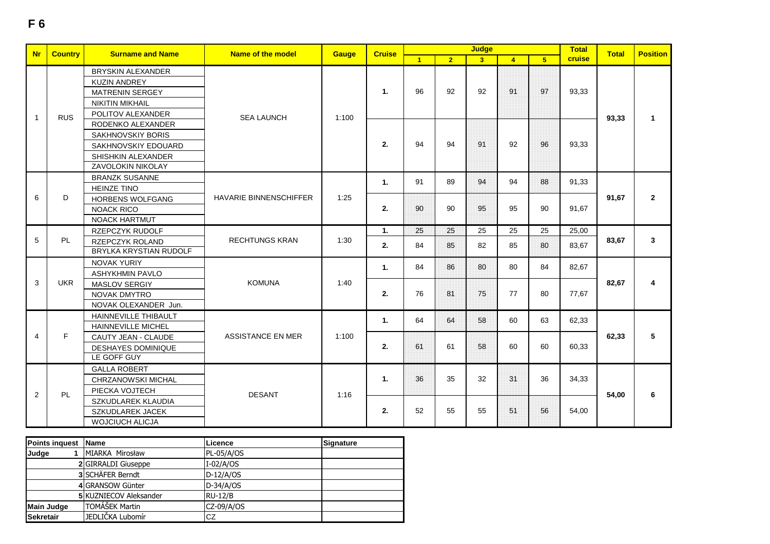| <b>Nr</b>    | <b>Country</b> | <b>Surname and Name</b>   | <b>Name of the model</b>      | Gauge | <b>Cruise</b>  |                |                | <b>Judge</b>   |                |                | <b>Total</b> | <b>Total</b> | <b>Position</b> |  |  |       |  |  |  |  |  |  |  |  |  |  |  |  |  |  |  |                |  |  |    |    |    |    |    |       |  |  |
|--------------|----------------|---------------------------|-------------------------------|-------|----------------|----------------|----------------|----------------|----------------|----------------|--------------|--------------|-----------------|--|--|-------|--|--|--|--|--|--|--|--|--|--|--|--|--|--|--|----------------|--|--|----|----|----|----|----|-------|--|--|
|              |                |                           |                               |       |                | $\blacksquare$ | 2 <sup>1</sup> | 3 <sup>1</sup> | $\overline{4}$ | 5 <sup>1</sup> | cruise       |              |                 |  |  |       |  |  |  |  |  |  |  |  |  |  |  |  |  |  |  |                |  |  |    |    |    |    |    |       |  |  |
|              |                | <b>BRYSKIN ALEXANDER</b>  |                               |       |                |                |                |                |                |                |              |              |                 |  |  |       |  |  |  |  |  |  |  |  |  |  |  |  |  |  |  |                |  |  |    |    |    |    |    |       |  |  |
|              |                | <b>KUZIN ANDREY</b>       |                               |       |                |                |                |                |                |                |              |              |                 |  |  |       |  |  |  |  |  |  |  |  |  |  |  |  |  |  |  |                |  |  |    |    |    |    |    |       |  |  |
|              |                | MATRENIN SERGEY           |                               |       | $\mathbf{1}$ . | 96             | 92             | 92             | 91             | 97             | 93,33        |              |                 |  |  |       |  |  |  |  |  |  |  |  |  |  |  |  |  |  |  |                |  |  |    |    |    |    |    |       |  |  |
|              |                | <b>NIKITIN MIKHAIL</b>    |                               |       |                |                |                |                |                |                |              |              |                 |  |  |       |  |  |  |  |  |  |  |  |  |  |  |  |  |  |  |                |  |  |    |    |    |    |    |       |  |  |
| $\mathbf{1}$ | <b>RUS</b>     | POLITOV ALEXANDER         | <b>SEA LAUNCH</b>             | 1:100 |                |                |                |                |                |                |              | 93,33        | $\mathbf{1}$    |  |  |       |  |  |  |  |  |  |  |  |  |  |  |  |  |  |  |                |  |  |    |    |    |    |    |       |  |  |
|              |                | RODENKO ALEXANDER         |                               |       |                |                |                |                |                |                |              |              |                 |  |  |       |  |  |  |  |  |  |  |  |  |  |  |  |  |  |  |                |  |  |    |    |    |    |    |       |  |  |
|              |                | <b>SAKHNOVSKIY BORIS</b>  |                               |       |                |                |                |                |                |                |              |              |                 |  |  |       |  |  |  |  |  |  |  |  |  |  |  |  |  |  |  |                |  |  |    |    |    |    |    |       |  |  |
|              |                | SAKHNOVSKIY EDOUARD       |                               |       | 2.             | 94             | 94             | 91             | 92             | 96             | 93,33        |              |                 |  |  |       |  |  |  |  |  |  |  |  |  |  |  |  |  |  |  |                |  |  |    |    |    |    |    |       |  |  |
|              |                | SHISHKIN ALEXANDER        |                               |       |                |                |                |                |                |                |              |              |                 |  |  |       |  |  |  |  |  |  |  |  |  |  |  |  |  |  |  |                |  |  |    |    |    |    |    |       |  |  |
|              |                | ZAVOLOKIN NIKOLAY         |                               |       |                |                |                |                |                |                |              |              |                 |  |  |       |  |  |  |  |  |  |  |  |  |  |  |  |  |  |  |                |  |  |    |    |    |    |    |       |  |  |
|              |                | <b>BRANZK SUSANNE</b>     |                               |       | $\mathbf{1}$ . | 91             | 89             | 94             | 94             | 88             | 91.33        |              |                 |  |  |       |  |  |  |  |  |  |  |  |  |  |  |  |  |  |  |                |  |  |    |    |    |    |    |       |  |  |
|              |                | <b>HEINZE TINO</b>        |                               |       |                |                |                |                |                |                |              |              |                 |  |  |       |  |  |  |  |  |  |  |  |  |  |  |  |  |  |  |                |  |  |    |    |    |    |    |       |  |  |
| 6            | D              | <b>HORBENS WOLFGANG</b>   | <b>HAVARIE BINNENSCHIFFER</b> | 1:25  |                |                |                |                |                |                |              | 91,67        | $\mathbf{2}$    |  |  |       |  |  |  |  |  |  |  |  |  |  |  |  |  |  |  |                |  |  |    |    |    |    |    |       |  |  |
|              |                | <b>NOACK RICO</b>         |                               |       | 2.             | 90             | 90             | 95             | 95             | 90             | 91,67        |              |                 |  |  |       |  |  |  |  |  |  |  |  |  |  |  |  |  |  |  |                |  |  |    |    |    |    |    |       |  |  |
|              |                | <b>NOACK HARTMUT</b>      |                               |       |                |                |                |                |                |                |              |              |                 |  |  |       |  |  |  |  |  |  |  |  |  |  |  |  |  |  |  |                |  |  |    |    |    |    |    |       |  |  |
|              |                | RZEPCZYK RUDOLF           |                               |       | $\mathbf{1}$ . | 25             | 25             | 25             | 25             | 25             | 25.00        |              |                 |  |  |       |  |  |  |  |  |  |  |  |  |  |  |  |  |  |  |                |  |  |    |    |    |    |    |       |  |  |
| 5            | PL.            | RZEPCZYK ROLAND           | <b>RECHTUNGS KRAN</b>         | 1:30  | 2.             | 84             | 85             | 82             | 85             | 80             | 83,67        | 83,67        | $\mathbf{3}$    |  |  |       |  |  |  |  |  |  |  |  |  |  |  |  |  |  |  |                |  |  |    |    |    |    |    |       |  |  |
|              |                | BRYLKA KRYSTIAN RUDOLF    |                               |       |                |                |                |                |                |                |              |              |                 |  |  |       |  |  |  |  |  |  |  |  |  |  |  |  |  |  |  |                |  |  |    |    |    |    |    |       |  |  |
|              |                | <b>NOVAK YURIY</b>        |                               |       | $\mathbf{1}$ . | 84             | 86             | 80             | 80             | 84             | 82,67        |              |                 |  |  |       |  |  |  |  |  |  |  |  |  |  |  |  |  |  |  |                |  |  |    |    |    |    |    |       |  |  |
|              |                | <b>ASHYKHMIN PAVLO</b>    |                               |       |                |                |                |                |                |                |              |              |                 |  |  |       |  |  |  |  |  |  |  |  |  |  |  |  |  |  |  |                |  |  |    |    |    |    |    |       |  |  |
| 3            | <b>UKR</b>     | <b>MASLOV SERGIY</b>      | <b>KOMUNA</b>                 | 1:40  |                |                |                |                |                |                |              | 82,67        | 4               |  |  |       |  |  |  |  |  |  |  |  |  |  |  |  |  |  |  |                |  |  |    |    |    |    |    |       |  |  |
|              |                | <b>NOVAK DMYTRO</b>       |                               |       | 2.             | 76             | 81             | 75             | 77             | 80             | 77,67        |              |                 |  |  |       |  |  |  |  |  |  |  |  |  |  |  |  |  |  |  |                |  |  |    |    |    |    |    |       |  |  |
|              |                | NOVAK OLEXANDER Jun.      |                               |       |                |                |                |                |                |                |              |              |                 |  |  |       |  |  |  |  |  |  |  |  |  |  |  |  |  |  |  |                |  |  |    |    |    |    |    |       |  |  |
|              |                | HAINNEVILLE THIBAULT      |                               |       | $\mathbf{1}$ . | 64             | 64             | 58             | 60             | 63             | 62,33        |              |                 |  |  |       |  |  |  |  |  |  |  |  |  |  |  |  |  |  |  |                |  |  |    |    |    |    |    |       |  |  |
|              |                | HAINNEVILLE MICHEL        |                               |       |                |                |                |                |                |                |              |              |                 |  |  |       |  |  |  |  |  |  |  |  |  |  |  |  |  |  |  |                |  |  |    |    |    |    |    |       |  |  |
| 4            | F.             | CAUTY JEAN - CLAUDE       | <b>ASSISTANCE EN MER</b>      | 1:100 |                |                |                |                |                |                |              | 62,33        | 5               |  |  |       |  |  |  |  |  |  |  |  |  |  |  |  |  |  |  |                |  |  |    |    |    |    |    |       |  |  |
|              |                | <b>DESHAYES DOMINIQUE</b> |                               |       | 2.             | 61             | 61             | 58             | 60             | 60             | 60,33        |              |                 |  |  |       |  |  |  |  |  |  |  |  |  |  |  |  |  |  |  |                |  |  |    |    |    |    |    |       |  |  |
|              |                | LE GOFF GUY               |                               |       |                |                |                |                |                |                |              |              |                 |  |  |       |  |  |  |  |  |  |  |  |  |  |  |  |  |  |  |                |  |  |    |    |    |    |    |       |  |  |
|              |                | <b>GALLA ROBERT</b>       |                               |       |                |                |                |                |                |                |              |              |                 |  |  |       |  |  |  |  |  |  |  |  |  |  |  |  |  |  |  |                |  |  |    |    |    |    |    |       |  |  |
|              |                | CHRZANOWSKI MICHAL        |                               | 1:16  |                |                |                |                |                |                |              |              |                 |  |  |       |  |  |  |  |  |  |  |  |  |  |  |  |  |  |  | $\mathbf{1}$ . |  |  | 36 | 35 | 32 | 31 | 36 | 34,33 |  |  |
| 2            | PL             | PIECKA VOJTECH            | <b>DESANT</b>                 |       |                |                |                |                |                |                |              |              |                 |  |  |       |  |  |  |  |  |  |  |  |  |  |  |  |  |  |  |                |  |  |    |    |    |    |    |       |  |  |
|              |                | SZKUDLAREK KLAUDIA        |                               |       |                |                |                |                |                |                |              |              |                 |  |  | 54,00 |  |  |  |  |  |  |  |  |  |  |  |  |  |  |  |                |  |  |    |    |    |    |    |       |  |  |
|              |                | <b>SZKUDLAREK JACEK</b>   |                               |       | 2.             | 52             | 55             | 55             | 51             | 56             | 54,00        |              |                 |  |  |       |  |  |  |  |  |  |  |  |  |  |  |  |  |  |  |                |  |  |    |    |    |    |    |       |  |  |

| Points inquest Name |                        | Licence           | Signature |
|---------------------|------------------------|-------------------|-----------|
| Judge               | MIARKA Mirosław        | <b>PL-05/A/OS</b> |           |
|                     | 2 GIRRALDI Giuseppe    | $I-02/A/OS$       |           |
|                     | 3 SCHÄFER Berndt       | $D-12/A/OS$       |           |
|                     | 4 GRANSOW Günter       | $D-34/A/OS$       |           |
|                     | 5 KUZNIECOV Aleksander | <b>RU-12/B</b>    |           |
| Main Judge          | TOMÁŠEK Martin         | CZ-09/A/OS        |           |
| <b>Sekretair</b>    | JEDLIČKA Lubomír       | CZ                |           |

 SZKUDLAREK JACEKWOJCIUCH ALICJA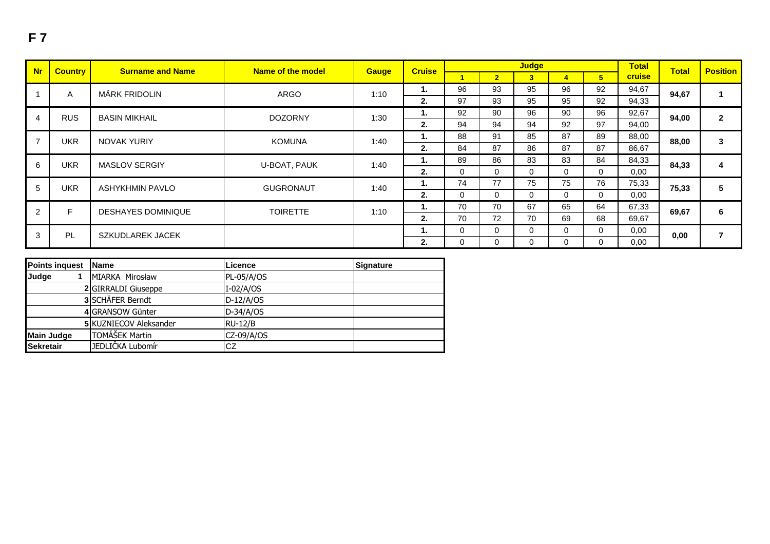| <b>Nr</b>     | <b>Country</b><br><b>Surname and Name</b> |                           | Name of the model     | <b>Gauge</b> | <b>Cruise</b> |          |                | <b>Judge</b>   |          |                | <b>Total</b> | <b>Total</b> | <b>Position</b> |      |
|---------------|-------------------------------------------|---------------------------|-----------------------|--------------|---------------|----------|----------------|----------------|----------|----------------|--------------|--------------|-----------------|------|
|               |                                           |                           |                       |              |               |          | $\overline{2}$ | 3 <sup>1</sup> | 4        | 5 <sup>5</sup> | cruise       |              |                 |      |
|               | A                                         | MÄRK FRIDOLIN             | <b>ARGO</b>           | 1:10         | 1.            | 96       | 93             | 95             | 96       | 92             | 94,67        | 94,67        |                 |      |
|               |                                           |                           |                       |              | 2.            | 97       | 93             | 95             | 95       | 92             | 94,33        |              |                 |      |
| 4             | <b>RUS</b>                                | <b>BASIN MIKHAIL</b>      | <b>DOZORNY</b>        | 1:30         | 1.            | 92       | 90             | 96             | 90       | 96             | 92,67        | 94,00        | $\overline{2}$  |      |
|               |                                           |                           |                       |              | 2.            | 94       | 94             | 94             | 92       | 97             | 94,00        |              |                 |      |
|               | <b>UKR</b>                                | <b>NOVAK YURIY</b>        | <b>KOMUNA</b><br>1:40 | 1.           | 88            | 91       | 85             | 87             | 89       | 88,00          | 88,00        | 3            |                 |      |
|               |                                           |                           |                       |              | 2.            | 84       | 87             | 86             | 87       | 87             | 86,67        |              |                 |      |
| 6             | <b>UKR</b>                                | <b>MASLOV SERGIY</b>      |                       | U-BOAT, PAUK | 1:40          | 1.       | 89             | 86             | 83       | 83             | 84           | 84,33        | 84,33           | 4    |
|               |                                           |                           |                       |              | 2.            | $\Omega$ | $\Omega$       | $\Omega$       | 0        | $\Omega$       | 0,00         |              |                 |      |
| 5             | <b>UKR</b>                                | ASHYKHMIN PAVLO           | <b>GUGRONAUT</b>      | 1:40         | 1.            | 74       | 77             | 75             | 75       | 76             | 75,33        | 75,33        | 5               |      |
|               |                                           |                           |                       |              | 2.            | $\Omega$ | $\Omega$       | $\Omega$       | $\Omega$ | $\Omega$       | 0,00         |              |                 |      |
| $\mathcal{P}$ | F.                                        | <b>DESHAYES DOMINIQUE</b> | <b>TOIRETTE</b>       | 1:10         | 1.            | 70       | 70             | 67             | 65       | 64             | 67,33        | 69,67        | 6               |      |
|               |                                           |                           |                       |              | 2.            | 70       | 72             | 70             | 69       | 68             | 69,67        |              |                 |      |
|               | PL<br>3<br><b>SZKUDLAREK JACEK</b>        |                           |                       |              | 1.            | $\Omega$ | $\Omega$       | $\Omega$       | 0        | $\Omega$       | 0,00         | 0,00         |                 |      |
|               |                                           |                           |                       |              |               |          |                | 2.             | 0        | 0              | 0            | 0            | $\Omega$        | 0,00 |

| <b>Points inquest</b> | <b>Name</b>                   | Licence      | <b>Signature</b> |
|-----------------------|-------------------------------|--------------|------------------|
| Judge                 | MIARKA Mirosław               | $PL-05/A/OS$ |                  |
|                       | 2 GIRRALDI Giuseppe           | $I-02/A/OS$  |                  |
|                       | 3 SCHÄFER Berndt              | $D-12/A/OS$  |                  |
|                       | 4 GRANSOW Günter              | $D-34/A/OS$  |                  |
|                       | <b>5 KUZNIECOV Aleksander</b> | $RU-12/B$    |                  |
| <b>Main Judge</b>     | TOMÁŠEK Martin                | $CZ-09/A/OS$ |                  |
| <b>Sekretair</b>      | JEDLIČKA Lubomír              | ICZ          |                  |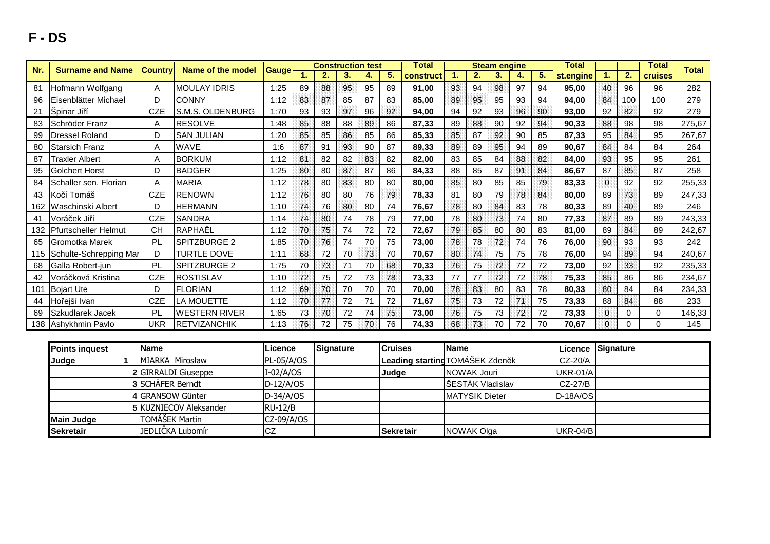## **F - DS**

| Nr. | <b>Surname and Name</b>    | <b>Country</b> | Name of the model    | Gauge |    | <b>Construction test</b> |    |    |    | Total     |    |    | <b>Steam engine</b> |    |    | Total     |                |              | Total   | <b>Total</b> |
|-----|----------------------------|----------------|----------------------|-------|----|--------------------------|----|----|----|-----------|----|----|---------------------|----|----|-----------|----------------|--------------|---------|--------------|
|     |                            |                |                      |       |    | 2.                       | 3. | 4. | 5. | construct |    | 2. | 3.                  | 4. | 5. | st.engine |                | $\mathbf{2}$ | cruises |              |
| 81  | Hofmann Wolfgang           | Α              | <b>MOULAY IDRIS</b>  | 1:25  | 89 | 88                       | 95 | 95 | 89 | 91,00     | 93 | 94 | 98                  | 97 | 94 | 95,00     | 40             | 96           | 96      | 282          |
| 96  | Eisenblätter Michael       | D              | <b>CONNY</b>         | 1:12  | 83 | 87                       | 85 | 87 | 83 | 85,00     | 89 | 95 | 95                  | 93 | 94 | 94,00     | 84             | 100          | 100     | 279          |
| 21  | Špinar Jiří                | <b>CZE</b>     | S.M.S. OLDENBURG     | 1:70  | 93 | 93                       | 97 | 96 | 92 | 94,00     | 94 | 92 | 93                  | 96 | 90 | 93,00     | 92             | 82           | 92      | 279          |
| 83  | Schröder Franz             | A              | <b>RESOLVE</b>       | 1:48  | 85 | 88                       | 88 | 89 | 86 | 87,33     | 89 | 88 | 90                  | 92 | 94 | 90,33     | 88             | 98           | 98      | 275,67       |
| 99  | <b>Dressel Roland</b>      | D              | <b>SAN JULIAN</b>    | 1:20  | 85 | 85                       | 86 | 85 | 86 | 85,33     | 85 | 87 | 92                  | 90 | 85 | 87,33     | 95             | 84           | 95      | 267,67       |
| 80  | <b>Starsich Franz</b>      | Α              | <b>WAVE</b>          | 1:6   | 87 | 91                       | 93 | 90 | 87 | 89,33     | 89 | 89 | 95                  | 94 | 89 | 90,67     | 84             | 84           | 84      | 264          |
| 87  | <b>Traxler Albert</b>      | A              | <b>BORKUM</b>        | 1:12  | 81 | 82                       | 82 | 83 | 82 | 82,00     | 83 | 85 | 84                  | 88 | 82 | 84,00     | 93             | 95           | 95      | 261          |
| 95  | Golchert Horst             | D              | <b>BADGER</b>        | 1:25  | 80 | 80                       | 87 | 87 | 86 | 84,33     | 88 | 85 | 87                  | 91 | 84 | 86,67     | 87             | 85           | 87      | 258          |
| 84  | Schaller sen. Florian      | Α              | <b>MARIA</b>         | 1:12  | 78 | 80                       | 83 | 80 | 80 | 80,00     | 85 | 80 | 85                  | 85 | 79 | 83,33     | $\Omega$       | 92           | 92      | 255,33       |
| 43  | Kočí Tomáš                 | <b>CZE</b>     | <b>RENOWN</b>        | 1:12  | 76 | 80                       | 80 | 76 | 79 | 78,33     | 81 | 80 | 79                  | 78 | 84 | 80,00     | 89             | 73           | 89      | 247,33       |
| 162 | Waschinski Albert          | D              | <b>HERMANN</b>       | 1:10  | 74 | 76                       | 80 | 80 | 74 | 76,67     | 78 | 80 | 84                  | 83 | 78 | 80,33     | 89             | 40           | 89      | 246          |
| 41  | Voráček Jiří               | <b>CZE</b>     | <b>SANDRA</b>        | 1:14  | 74 | 80                       | 74 | 78 | 79 | 77,00     | 78 | 80 | 73                  | 74 | 80 | 77,33     | 87             | 89           | 89      | 243,33       |
| 132 | Pfurtscheller Helmut       | CН             | RAPHAËL              | 1:12  | 70 | 75                       | 74 | 72 | 72 | 72,67     | 79 | 85 | 80                  | 80 | 83 | 81,00     | 89             | 84           | 89      | 242,67       |
| 65  | Gromotka Marek             | <b>PL</b>      | SPITZBURGE 2         | 1:85  | 70 | 76                       | 74 | 70 | 75 | 73,00     | 78 | 78 | 72                  | 74 | 76 | 76,00     | 90             | 93           | 93      | 242          |
|     | 115 Schulte-Schrepping Mar | D              | <b>TURTLE DOVE</b>   | 1:11  | 68 | 72                       | 70 | 73 | 70 | 70,67     | 80 | 74 | 75                  | 75 | 78 | 76,00     | 94             | 89           | 94      | 240,67       |
| 68  | Galla Robert-jun           | <b>PL</b>      | SPITZBURGE 2         | 1:75  | 70 | 73                       | 71 | 70 | 68 | 70,33     | 76 | 75 | 72                  | 72 | 72 | 73,00     | 92             | 33           | 92      | 235,33       |
| 42  | Voráčková Kristina         | <b>CZE</b>     | <b>ROSTISLAV</b>     | 1:10  | 72 | 75                       | 72 | 73 | 78 | 73,33     | 77 | 77 | 72                  | 72 | 78 | 75,33     | 85             | 86           | 86      | 234,67       |
| 101 | <b>Bojart Ute</b>          | D              | <b>FLORIAN</b>       | 1:12  | 69 | 70                       | 70 | 70 | 70 | 70,00     | 78 | 83 | 80                  | 83 | 78 | 80,33     | 80             | 84           | 84      | 234,33       |
| 44  | Hořejší Ivan               | <b>CZE</b>     | LA MOUETTE           | 1:12  | 70 | 77                       | 72 | 71 | 72 | 71,67     | 75 | 73 | 72                  | 71 | 75 | 73,33     | 88             | 84           | 88      | 233          |
| 69  | Szkudlarek Jacek           | PL             | <b>WESTERN RIVER</b> | 1:65  | 73 | 70                       | 72 | 74 | 75 | 73,00     | 76 | 75 | 73                  | 72 | 72 | 73,33     | 0              | 0            | 0       | 146,33       |
|     | 138 Ashykhmin Paylo        | UKR            | <b>RETVIZANCHIK</b>  | 1:13  | 76 | 72                       | 75 | 70 | 76 | 74,33     | 68 | 73 | 70                  | 72 | 70 | 70,67     | $\overline{0}$ | 0            | 0       | 145          |

| <b>Points inquest</b> | <b>Name</b>                   | Licence      | Signature | lCruises         | <b>Name</b>                     |                 | Licence Signature |
|-----------------------|-------------------------------|--------------|-----------|------------------|---------------------------------|-----------------|-------------------|
| Judge                 | MIARKA Mirosław               | $PL-05/A/OS$ |           |                  | Leading starting TOMÁŠEK Zdeněk | $CZ-20/A$       |                   |
|                       | 2 GIRRALDI Giuseppe           | $I-02/A/OS$  |           | Judge            | NOWAK Jouri                     | <b>UKR-01/A</b> |                   |
|                       | 3 SCHÄFER Berndt              | $D-12/A/OS$  |           |                  | ŠESTÁK Vladislav                | CZ-27/B         |                   |
|                       | 4 GRANSOW Günter              | $D-34/A/OS$  |           |                  | <b>MATYSIK Dieter</b>           | $D-18A/OS$      |                   |
|                       | <b>5 KUZNIECOV Aleksander</b> | $RU-12/B$    |           |                  |                                 |                 |                   |
| Main Judge            | <b>TOMÁŠEK Martin</b>         | CZ-09/A/OS   |           |                  |                                 |                 |                   |
| <b>Sekretair</b>      | JEDLIČKA Lubomír              | CZ           |           | <b>Sekretair</b> | NOWAK Olga                      | UKR-04/B        |                   |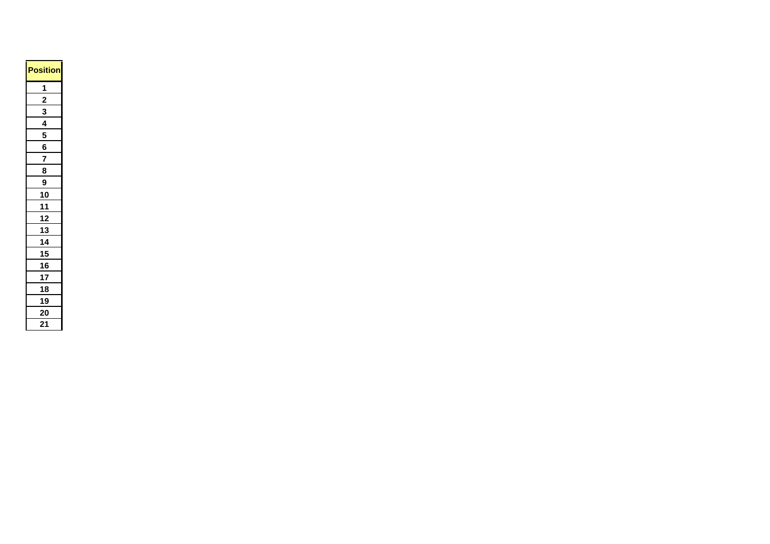| <b>Position</b> |
|-----------------|
| $\overline{1}$  |
| $\overline{2}$  |
| 3               |
| <u>4</u>        |
| 5               |
| 6               |
| $\overline{7}$  |
| 8               |
| 9               |
| 10              |
| 11              |
| <u>12</u>       |
| <u>13</u>       |
| 14              |
| 15              |
| 16              |
| 17              |
| $\overline{18}$ |
| $\overline{19}$ |
| 20              |
| 21              |
|                 |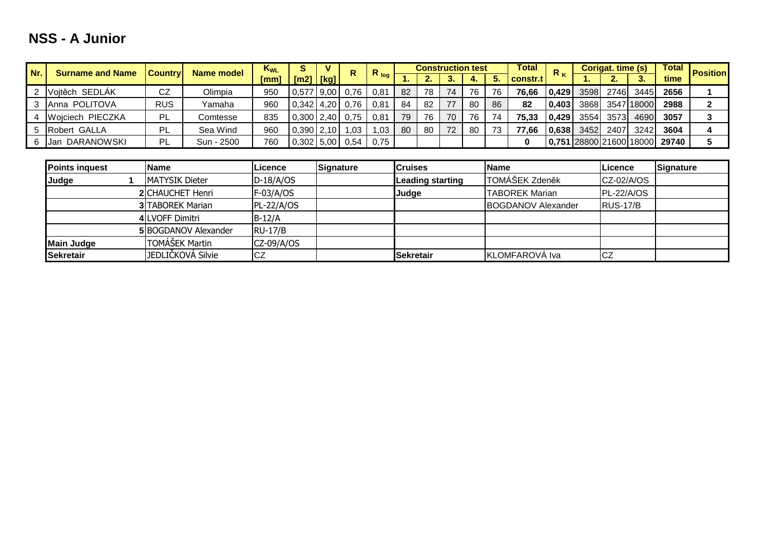## **NSS - A Junior**

| Nr. | <b>Surname and Name</b>   | <b>Country</b> | Name model | K <sub>wL</sub> |                | v | $R_{log}$ |      | <b>Construction test</b> |     |    |    | <b>Total</b> | $R_{K}$  |       | <b>Corigat. time (s)</b> |      | <b>Total</b> | <b>Position</b>                      |  |
|-----|---------------------------|----------------|------------|-----------------|----------------|---|-----------|------|--------------------------|-----|----|----|--------------|----------|-------|--------------------------|------|--------------|--------------------------------------|--|
|     |                           |                |            | [mm]            | [m2]   [kg]    |   |           |      |                          |     |    |    |              | constr.t |       |                          | . .  |              | time                                 |  |
|     | Vojtěch SEDLÁK            | CZ             | Olimpia    | 950             | $ 0,577 $ 9,00 |   | 0.76      | 0,81 | 82                       | 78  | 74 | 76 | 76           | 76.66    | 0,429 | 3598I                    | 2746 | 3445         | 2656                                 |  |
|     | <b>IAnna POLITOVA</b>     | <b>RUS</b>     | Yamaha     | 960             | 0,342 4,20     |   | 0.76      | 0.81 | 84                       | -82 |    | 80 | 86           | 82       | 0,403 | 3868                     |      | 3547 18000   | 2988                                 |  |
|     | 4 <b>Woiciech PIECZKA</b> | <b>PL</b>      | Comtesse   | 835             | 0,300 2,40     |   | 0.75      | 0.81 | 79                       | 76  | 70 | 76 | 74           | 75.33    | 0.429 | 3554                     | 3573 | 4690         | 3057                                 |  |
|     | 5 Robert GALLA            | PL             | Sea Wind   | 960             | 0,390 2,10     |   | .03       | .03  | 80                       | 80  | 72 | 80 | 73           | '.66     | 0.638 | 34521                    | 2407 | 3242         | 3604                                 |  |
|     | Jan DARANOWSKI            | PL.            | Sun - 2500 | 760             | 0,302 5,00     |   | 0.54      | 0,75 |                          |     |    |    |              | 0        |       |                          |      |              | 0,751  28800   21600   18000   29740 |  |

| <b>Points inquest</b> | <b>Name</b>             | Licence        | Signature | <b>Cruises</b>   | <b>Name</b>                | Licence           | Signature |
|-----------------------|-------------------------|----------------|-----------|------------------|----------------------------|-------------------|-----------|
| Judge                 | <b>MATYSIK Dieter</b>   | $D-18/A/OS$    |           | Leading starting | <b>ITOMÁŠEK Zdeněk</b>     | CZ-02/A/OS        |           |
|                       | <b>2</b> CHAUCHET Henri | $F-03/A/OS$    |           | <b>Judge</b>     | <b>TABOREK Marian</b>      | <b>PL-22/A/OS</b> |           |
|                       | <b>3 TABOREK Marian</b> | $PL-22/A/OS$   |           |                  | <b>IBOGDANOV Alexander</b> | RUS-17/B          |           |
|                       | 4 LVOFF Dimitri         | $B-12/A$       |           |                  |                            |                   |           |
|                       | 5 BOGDANOV Alexander    | <b>RU-17/B</b> |           |                  |                            |                   |           |
| <b>Main Judge</b>     | TOMÁŠEK Martin          | $CZ-09/A/OS$   |           |                  |                            |                   |           |
| <b>Sekretair</b>      | JEDLIČKOVÁ Silvie       | ΙCΖ            |           | <b>Sekretair</b> | KLOMFAROVA Iva             | CZ                |           |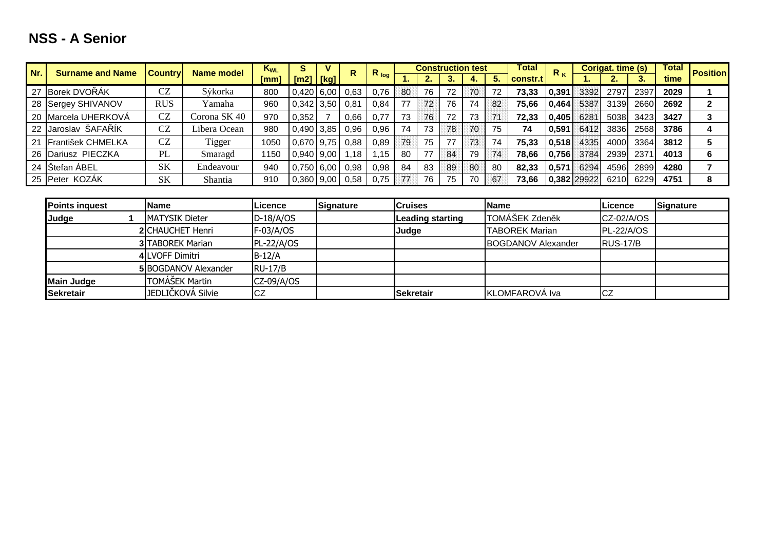## **NSS - A Senior**

| Nr.<br><b>Surname and Name</b> |                      | Name model<br><b>Country</b> |              | $K_{WL}$ | s                |      | R    |           |     | <b>Construction test</b> |    |    |    | <b>Total</b> | $R_{K}$ | Corigat. time (s) |      |      | <b>Total</b> | <b>Position</b> |
|--------------------------------|----------------------|------------------------------|--------------|----------|------------------|------|------|-----------|-----|--------------------------|----|----|----|--------------|---------|-------------------|------|------|--------------|-----------------|
|                                |                      |                              |              | [mm]     | $\mathsf{[m2]}$  | [kg] |      | $R_{log}$ | . . |                          |    |    |    | constr.t     |         | . .               |      |      | time         |                 |
|                                | 27 Borek DVOŘÁK      | <b>CZ</b>                    | Sýkorka      | 800      | $0,420$ 6,00     |      | 0.63 | 0.76      | 80  | 76                       | 72 | 70 | 72 | 73,33        | 0,391   | 3392              | 2797 | 2397 | 2029         |                 |
|                                | 28 Sergey SHIVANOV   | <b>RUS</b>                   | Yamaha       | 960      | 0.342            | 3,50 | 0,81 | 0,84      | 77  | 72                       | 76 | 74 | 82 | 75.66        | 0,464   | 5387              | 3139 | 2660 | 2692         | 2               |
|                                | 20 Marcela UHERKOVÁ  | <b>CZ</b>                    | Corona SK 40 | 970      | 0,352            |      | 0.66 |           | 73  | 76                       | 72 | 73 |    | 72.33        | 0,405   | 6281              | 5038 | 3423 | 3427         | 3               |
|                                | 22 Jaroslav ŠAFAŘÍK  | CZ                           | Libera Ocean | 980      | $0,490$ 3,85     |      | 0,96 | 0,96      | 74  | 73                       | 78 | 70 | 75 | 74           | 0,591   | 6412              | 3836 | 2568 | 3786         | 4               |
|                                | 21 František CHMELKA | <b>CZ</b>                    | Tigger       | 1050     | $0,670$ 9,75     |      | 0.88 | 0.89      | 79  | 75                       | 77 | 73 | 74 | 75.33        | 0,518   | 4335              | 4000 | 3364 | 3812         | 5               |
|                                | 26 Dariusz PIECZKA   | PL                           | Smaragd      | 1150     | $0,940$   $9,00$ |      | ,18  | 1.15      | 80  | 77                       | 84 | 79 | 74 | 78.66        | 0.756   | 3784              | 2939 | 237' | 4013         | 6               |
|                                | 24 Stefan ABEL       | SK                           | Endeavour    | 940      | $0,750$ 6,00     |      | 0,98 | 0,98      | 84  | 83                       | 89 | 80 | 80 | 82.33        | 0,571   | 6294              | 4596 | 2899 | 4280         |                 |
|                                | 25 Peter KOZÁK       | SK                           | Shantia      | 910      | 0,360            | 9,00 | 0.58 | 0.75      | 77  | 76                       | 75 | 70 | 67 | 73,66        |         | 0,382 29922       | 6210 | 6229 | 4751         | 8               |
|                                |                      |                              |              |          |                  |      |      |           |     |                          |    |    |    |              |         |                   |      |      |              |                 |

| <b>Points inquest</b> | <b>Name</b>                 | Licence        | Signature | <b>Cruises</b>          | <b>Name</b>               | Licence           | Signature |
|-----------------------|-----------------------------|----------------|-----------|-------------------------|---------------------------|-------------------|-----------|
| Judge                 | <b>IMATYSIK Dieter</b>      | $D-18/A/OS$    |           | <b>Leading starting</b> | TOMÁŠEK Zdeněk            | CZ-02/A/OS        |           |
|                       | <b>2ICHAUCHET Henri</b>     | $F-03/A/OS$    |           | Judge                   | <b>TABOREK Marian</b>     | <b>PL-22/A/OS</b> |           |
|                       | <b>3 TABOREK Marian</b>     | $PL-22/A/OS$   |           |                         | <b>BOGDANOV Alexander</b> | <b>IRUS-17/B</b>  |           |
|                       | 4 LVOFF Dimitri             | $B-12/A$       |           |                         |                           |                   |           |
|                       | <b>5 BOGDANOV Alexander</b> | <b>RU-17/B</b> |           |                         |                           |                   |           |
| <b>Main Judge</b>     | TOMÁŠEK Martin              | $CZ-09/A/OS$   |           |                         |                           |                   |           |
| <b>Sekretair</b>      | JEDLIČKOVÁ Silvie           | ICZ            |           | <b>Sekretair</b>        | <b>IKLOMFAROVA Iva</b>    | CZ                |           |